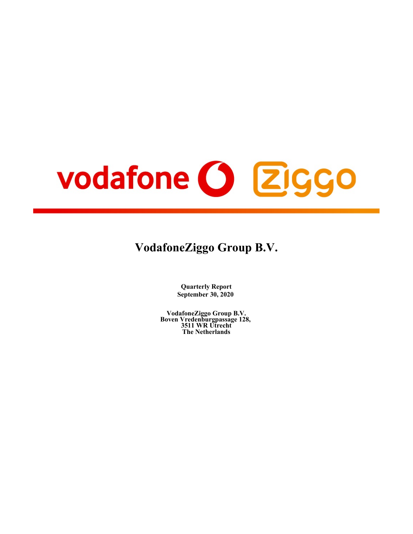# vodafone (3 Ziggo

# **VodafoneZiggo Group B.V.**

**Quarterly Report September 30, 2020**

**VodafoneZiggo Group B.V. Boven Vredenburgpassage 128, 3511 WR Utrecht The Netherlands**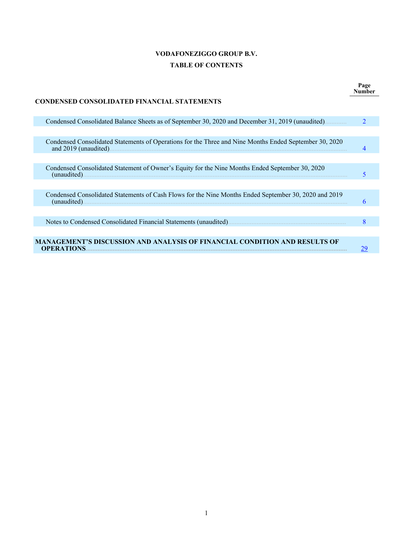# **VODAFONEZIGGO GROUP B.V. TABLE OF CONTENTS**

Г

**Page Number**

| <b>CONDENSED CONSOLIDATED FINANCIAL STATEMENTS</b>                                                                     |                             |
|------------------------------------------------------------------------------------------------------------------------|-----------------------------|
| Condensed Consolidated Balance Sheets as of September 30, 2020 and December 31, 2019 (unaudited)                       | $\mathcal{D}_{\mathcal{L}}$ |
|                                                                                                                        |                             |
| Condensed Consolidated Statements of Operations for the Three and Nine Months Ended September 30, 2020                 |                             |
|                                                                                                                        |                             |
| Condensed Consolidated Statement of Owner's Equity for the Nine Months Ended September 30, 2020<br>(unaudited)         |                             |
|                                                                                                                        |                             |
| Condensed Consolidated Statements of Cash Flows for the Nine Months Ended September 30, 2020 and 2019<br>$(unaudited)$ | 6                           |
|                                                                                                                        |                             |
|                                                                                                                        | 8                           |
|                                                                                                                        |                             |
| MANAGEMENT'S DISCUSSION AND ANALYSIS OF FINANCIAL CONDITION AND RESULTS OF<br><b>OPERATIONS.</b>                       | 29                          |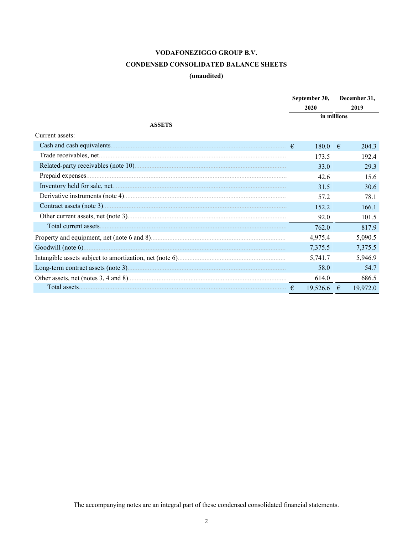# **CONDENSED CONSOLIDATED BALANCE SHEETS**

# (unaudited)

<span id="page-2-0"></span>

|                 |            | September 30,<br>2020 |             | December 31,<br>2019 |
|-----------------|------------|-----------------------|-------------|----------------------|
|                 |            | in millions           |             |                      |
| <b>ASSETS</b>   |            |                       |             |                      |
| Current assets: |            |                       |             |                      |
|                 |            | 180.0                 | $-\epsilon$ | 204.3                |
|                 |            | 173.5                 |             | 192.4                |
|                 |            | 33.0                  |             | 29.3                 |
|                 |            | 42.6                  |             | 15.6                 |
|                 |            | 31.5                  |             | 30.6                 |
|                 |            | 57.2                  |             | 78.1                 |
|                 |            | 152.2                 |             | 166.1                |
|                 |            | 92.0                  |             | 101.5                |
|                 |            | 762.0                 |             | 817.9                |
|                 |            | 4,975.4               |             | 5,090.5              |
|                 |            | 7,375.5               |             | 7,375.5              |
|                 |            | 5,741.7               |             | 5,946.9              |
|                 |            | 58.0                  |             | 54.7                 |
|                 |            | 614.0                 |             | 686.5                |
| Total assets.   | $\epsilon$ | 19,526.6              | $\epsilon$  | 19,972.0             |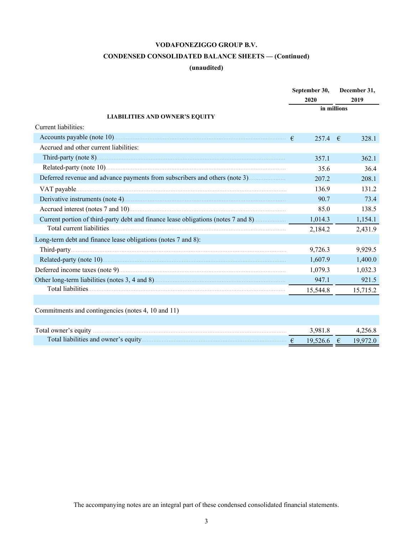# **CONDENSED CONSOLIDATED BALANCE SHEETS — (Continued)**

# **(unaudited)**

|                                                                                   | September 30, |              | December 31, |          |  |
|-----------------------------------------------------------------------------------|---------------|--------------|--------------|----------|--|
|                                                                                   |               | 2020         |              | 2019     |  |
|                                                                                   |               |              | in millions  |          |  |
| <b>LIABILITIES AND OWNER'S EQUITY</b>                                             |               |              |              |          |  |
| Current liabilities:                                                              |               |              |              |          |  |
|                                                                                   |               | $257.4$ €    |              | 328.1    |  |
| Accrued and other current liabilities:                                            |               |              |              |          |  |
|                                                                                   |               | 357.1        |              | 362.1    |  |
|                                                                                   |               | 35.6         |              | 36.4     |  |
|                                                                                   |               | 207.2        |              | 208.1    |  |
|                                                                                   |               | 136.9        |              | 131.2    |  |
|                                                                                   |               | 90.7         |              | 73.4     |  |
|                                                                                   |               | 85.0         |              | 138.5    |  |
| Current portion of third-party debt and finance lease obligations (notes 7 and 8) |               | 1,014.3      |              | 1,154.1  |  |
|                                                                                   |               | 2,184.2      |              | 2,431.9  |  |
| Long-term debt and finance lease obligations (notes 7 and 8):                     |               |              |              |          |  |
|                                                                                   |               | 9,726.3      |              | 9,929.5  |  |
|                                                                                   |               | 1,607.9      |              | 1,400.0  |  |
|                                                                                   |               | 1,079.3      |              | 1,032.3  |  |
|                                                                                   |               | 947.1        |              | 921.5    |  |
|                                                                                   |               | 15,544.8     |              | 15,715.2 |  |
|                                                                                   |               |              |              |          |  |
| Commitments and contingencies (notes 4, 10 and 11)                                |               |              |              |          |  |
|                                                                                   |               |              |              |          |  |
|                                                                                   |               | 3,981.8      |              | 4,256.8  |  |
|                                                                                   |               | $19,526.6$ € |              | 19,972.0 |  |
|                                                                                   |               |              |              |          |  |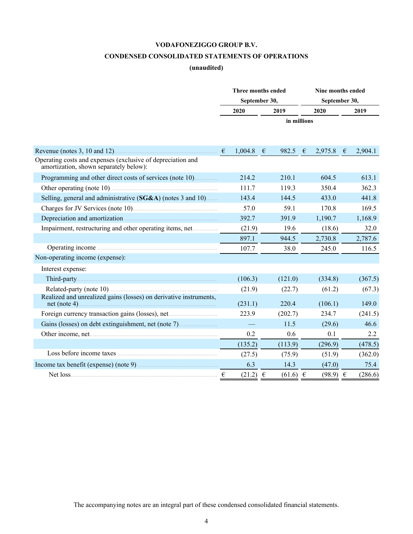# **CONDENSED CONSOLIDATED STATEMENTS OF OPERATIONS**

# **(unaudited)**

<span id="page-4-0"></span>

|                                                                                                       | Three months ended |              |      | Nine months ended |               |              |   |         |  |
|-------------------------------------------------------------------------------------------------------|--------------------|--------------|------|-------------------|---------------|--------------|---|---------|--|
|                                                                                                       | September 30,      |              |      |                   | September 30, |              |   |         |  |
|                                                                                                       | 2020               |              | 2019 |                   |               | 2020         |   | 2019    |  |
|                                                                                                       |                    |              |      | in millions       |               |              |   |         |  |
|                                                                                                       |                    |              |      |                   |               |              |   |         |  |
|                                                                                                       |                    |              |      |                   |               |              |   |         |  |
|                                                                                                       | €                  | 1,004.8      | €    | 982.5             | $\epsilon$    | 2,975.8      | € | 2,904.1 |  |
| Operating costs and expenses (exclusive of depreciation and<br>amortization, shown separately below): |                    |              |      |                   |               |              |   |         |  |
| Programming and other direct costs of services (note 10)                                              |                    | 214.2        |      | 210.1             |               | 604.5        |   | 613.1   |  |
| Other operating (note 10)                                                                             |                    | 111.7        |      | 119.3             |               | 350.4        |   | 362.3   |  |
| Selling, general and administrative (SG&A) (notes 3 and 10)                                           |                    | 143.4        |      | 144.5             |               | 433.0        |   | 441.8   |  |
| Charges for JV Services (note 10).                                                                    |                    | 57.0         |      | 59.1              |               | 170.8        |   | 169.5   |  |
|                                                                                                       |                    | 392.7        |      | 391.9             |               | 1,190.7      |   | 1,168.9 |  |
| Impairment, restructuring and other operating items, net                                              |                    | (21.9)       |      | 19.6              |               | (18.6)       |   | 32.0    |  |
|                                                                                                       |                    | 897.1        |      | 944.5             |               | 2,730.8      |   | 2,787.6 |  |
|                                                                                                       |                    | 107.7        |      | 38.0              |               | 245.0        |   | 116.5   |  |
| Non-operating income (expense):                                                                       |                    |              |      |                   |               |              |   |         |  |
| Interest expense:                                                                                     |                    |              |      |                   |               |              |   |         |  |
|                                                                                                       |                    | (106.3)      |      | (121.0)           |               | (334.8)      |   | (367.5) |  |
| Related-party (note 10)                                                                               |                    | (21.9)       |      | (22.7)            |               | (61.2)       |   | (67.3)  |  |
| Realized and unrealized gains (losses) on derivative instruments,                                     |                    | (231.1)      |      | 220.4             |               | (106.1)      |   | 149.0   |  |
| Foreign currency transaction gains (losses), net                                                      |                    | 223.9        |      | (202.7)           |               | 234.7        |   | (241.5) |  |
| Gains (losses) on debt extinguishment, net (note 7).                                                  |                    |              |      | 11.5              |               | (29.6)       |   | 46.6    |  |
|                                                                                                       |                    | 0.2          |      | 0.6               |               | 0.1          |   | 2.2     |  |
|                                                                                                       |                    | (135.2)      |      | (113.9)           |               | (296.9)      |   | (478.5) |  |
|                                                                                                       |                    | (27.5)       |      | (75.9)            |               | (51.9)       |   | (362.0) |  |
|                                                                                                       |                    | 6.3          |      | 14.3              |               | (47.0)       |   | 75.4    |  |
| Net loss                                                                                              | €                  | $(21.2) \t∈$ |      | $(61.6) \t∈$      |               | $(98.9) \in$ |   | (286.6) |  |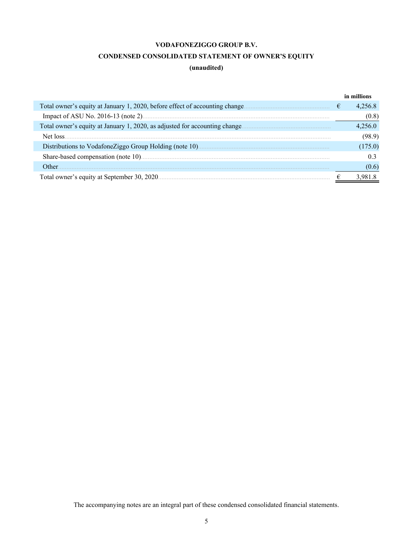# **CONDENSED CONSOLIDATED STATEMENT OF OWNER'S EQUITY**

# **(unaudited)**

<span id="page-5-0"></span>

|                                                                              |   | in millions |
|------------------------------------------------------------------------------|---|-------------|
| Total owner's equity at January 1, 2020, before effect of accounting change. | € | 4.256.8     |
|                                                                              |   | (0.8)       |
| Total owner's equity at January 1, 2020, as adjusted for accounting change   |   | 4 256 0     |
|                                                                              |   | (98.9)      |
|                                                                              |   | (175.0)     |
|                                                                              |   | 0.3         |
| Other                                                                        |   | (0.6)       |
| Total owner's equity at September 30, 2020.                                  |   |             |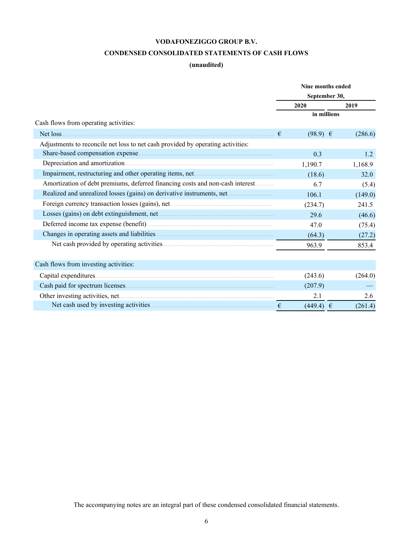# **CONDENSED CONSOLIDATED STATEMENTS OF CASH FLOWS**

# **(unaudited)**

<span id="page-6-0"></span>

|                                                                                 | Nine months ended |               |         |  |
|---------------------------------------------------------------------------------|-------------------|---------------|---------|--|
|                                                                                 |                   | September 30, |         |  |
|                                                                                 |                   | 2020          | 2019    |  |
|                                                                                 |                   | in millions   |         |  |
| Cash flows from operating activities:                                           |                   |               |         |  |
|                                                                                 | €                 | $(98.9) \in$  | (286.6) |  |
| Adjustments to reconcile net loss to net cash provided by operating activities: |                   |               |         |  |
|                                                                                 |                   | 0.3           | 1.2     |  |
|                                                                                 |                   | 1,190.7       | 1,168.9 |  |
|                                                                                 |                   | (18.6)        | 32.0    |  |
| Amortization of debt premiums, deferred financing costs and non-cash interest   |                   | 6.7           | (5.4)   |  |
| Realized and unrealized losses (gains) on derivative instruments, net           |                   | 106.1         | (149.0) |  |
| Foreign currency transaction losses (gains), net                                |                   | (234.7)       | 241.5   |  |
|                                                                                 |                   | 29.6          | (46.6)  |  |
|                                                                                 |                   | 47.0          | (75.4)  |  |
|                                                                                 |                   | (64.3)        | (27.2)  |  |
|                                                                                 |                   | 963.9         | 853.4   |  |
| Cash flows from investing activities:                                           |                   |               |         |  |
|                                                                                 |                   | (243.6)       | (264.0) |  |
|                                                                                 |                   | (207.9)       |         |  |
|                                                                                 |                   | 2.1           | 2.6     |  |
|                                                                                 | €                 | $(449.4) \in$ | (261.4) |  |
|                                                                                 |                   |               |         |  |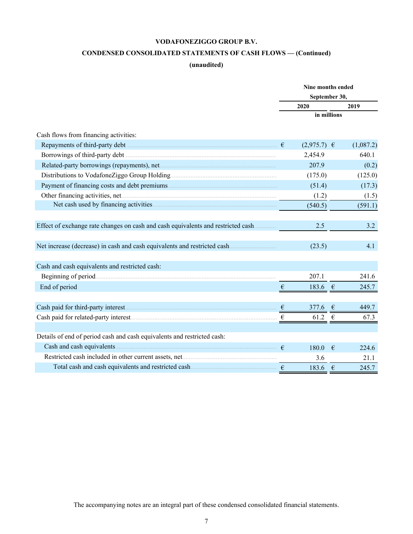# **CONDENSED CONSOLIDATED STATEMENTS OF CASH FLOWS — (Continued)**

# **(unaudited)**

|                                                                                  |                             | Nine months ended<br>September 30, |            |           |  |
|----------------------------------------------------------------------------------|-----------------------------|------------------------------------|------------|-----------|--|
|                                                                                  |                             |                                    |            |           |  |
|                                                                                  |                             | 2020                               |            | 2019      |  |
|                                                                                  |                             | in millions                        |            |           |  |
|                                                                                  |                             |                                    |            |           |  |
| Cash flows from financing activities:                                            |                             |                                    |            |           |  |
|                                                                                  |                             | $(2,975.7)$ €                      |            | (1,087.2) |  |
|                                                                                  |                             | 2,454.9                            |            | 640.1     |  |
|                                                                                  |                             | 207.9                              |            | (0.2)     |  |
|                                                                                  |                             | (175.0)                            |            | (125.0)   |  |
|                                                                                  |                             | (51.4)                             |            | (17.3)    |  |
|                                                                                  |                             | (1.2)                              |            | (1.5)     |  |
|                                                                                  |                             | (540.5)                            |            | (591.1)   |  |
|                                                                                  |                             |                                    |            |           |  |
| Effect of exchange rate changes on cash and cash equivalents and restricted cash |                             | 2.5                                |            | 3.2       |  |
| Net increase (decrease) in cash and cash equivalents and restricted cash         |                             | (23.5)                             |            | 4.1       |  |
| Cash and cash equivalents and restricted cash:                                   |                             |                                    |            |           |  |
|                                                                                  |                             | 207.1                              |            | 241.6     |  |
| End of period                                                                    | $\epsilon$                  | 183.6 €                            |            | 245.7     |  |
|                                                                                  |                             |                                    |            | 449.7     |  |
|                                                                                  | $\frac{\epsilon}{\epsilon}$ | 377.6 $\epsilon$                   |            |           |  |
|                                                                                  | $\epsilon$                  | 61.2                               | $\epsilon$ | 67.3      |  |
| Details of end of period cash and cash equivalents and restricted cash:          |                             |                                    |            |           |  |
|                                                                                  | $\epsilon$                  | 180.0                              | €          | 224.6     |  |
|                                                                                  |                             | 3.6                                |            | 21.1      |  |
|                                                                                  |                             | 183.6                              | $\epsilon$ | 245.7     |  |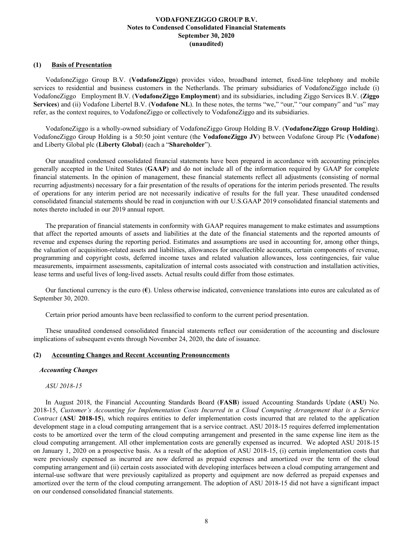# <span id="page-8-0"></span>**(1) Basis of Presentation**

VodafoneZiggo Group B.V. (**VodafoneZiggo**) provides video, broadband internet, fixed-line telephony and mobile services to residential and business customers in the Netherlands. The primary subsidiaries of VodafoneZiggo include (i) VodafoneZiggo Employment B.V. (**VodafoneZiggo Employment**) and its subsidiaries, including Ziggo Services B.V. (**Ziggo Services**) and (ii) Vodafone Libertel B.V. (**Vodafone NL**). In these notes, the terms "we," "our," "our company" and "us" may refer, as the context requires, to VodafoneZiggo or collectively to VodafoneZiggo and its subsidiaries.

VodafoneZiggo is a wholly-owned subsidiary of VodafoneZiggo Group Holding B.V. (**VodafoneZiggo Group Holding**). VodafoneZiggo Group Holding is a 50:50 joint venture (the **VodafoneZiggo JV**) between Vodafone Group Plc (**Vodafone**) and Liberty Global plc (**Liberty Global**) (each a "**Shareholder**").

Our unaudited condensed consolidated financial statements have been prepared in accordance with accounting principles generally accepted in the United States (**GAAP**) and do not include all of the information required by GAAP for complete financial statements. In the opinion of management, these financial statements reflect all adjustments (consisting of normal recurring adjustments) necessary for a fair presentation of the results of operations for the interim periods presented. The results of operations for any interim period are not necessarily indicative of results for the full year. These unaudited condensed consolidated financial statements should be read in conjunction with our U.S.GAAP 2019 consolidated financial statements and notes thereto included in our 2019 annual report.

The preparation of financial statements in conformity with GAAP requires management to make estimates and assumptions that affect the reported amounts of assets and liabilities at the date of the financial statements and the reported amounts of revenue and expenses during the reporting period. Estimates and assumptions are used in accounting for, among other things, the valuation of acquisition-related assets and liabilities, allowances for uncollectible accounts, certain components of revenue, programming and copyright costs, deferred income taxes and related valuation allowances, loss contingencies, fair value measurements, impairment assessments, capitalization of internal costs associated with construction and installation activities, lease terms and useful lives of long-lived assets. Actual results could differ from those estimates.

Our functional currency is the euro (**€**). Unless otherwise indicated, convenience translations into euros are calculated as of September 30, 2020.

Certain prior period amounts have been reclassified to conform to the current period presentation.

These unaudited condensed consolidated financial statements reflect our consideration of the accounting and disclosure implications of subsequent events through November 24, 2020, the date of issuance.

### **(2) Accounting Changes and Recent Accounting Pronouncements**

### *Accounting Changes*

### *ASU 2018-15*

In August 2018, the Financial Accounting Standards Board (**FASB**) issued Accounting Standards Update (**ASU**) No. 2018-15, *Customer's Accounting for Implementation Costs Incurred in a Cloud Computing Arrangement that is a Service Contract* (**ASU 2018-15**), which requires entities to defer implementation costs incurred that are related to the application development stage in a cloud computing arrangement that is a service contract. ASU 2018-15 requires deferred implementation costs to be amortized over the term of the cloud computing arrangement and presented in the same expense line item as the cloud computing arrangement. All other implementation costs are generally expensed as incurred. We adopted ASU 2018-15 on January 1, 2020 on a prospective basis. As a result of the adoption of ASU 2018-15, (i) certain implementation costs that were previously expensed as incurred are now deferred as prepaid expenses and amortized over the term of the cloud computing arrangement and (ii) certain costs associated with developing interfaces between a cloud computing arrangement and internal-use software that were previously capitalized as property and equipment are now deferred as prepaid expenses and amortized over the term of the cloud computing arrangement. The adoption of ASU 2018-15 did not have a significant impact on our condensed consolidated financial statements.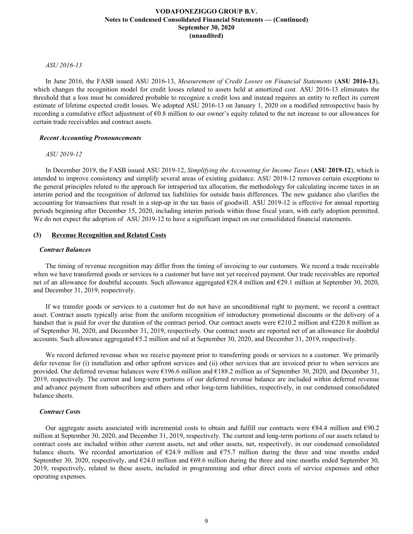### *ASU 2016-13*

In June 2016, the FASB issued ASU 2016-13, *Measurement of Credit Losses on Financial Statements* (**ASU 2016-13**), which changes the recognition model for credit losses related to assets held at amortized cost. ASU 2016-13 eliminates the threshold that a loss must be considered probable to recognize a credit loss and instead requires an entity to reflect its current estimate of lifetime expected credit losses. We adopted ASU 2016-13 on January 1, 2020 on a modified retrospective basis by recording a cumulative effect adjustment of €0.8 million to our owner's equity related to the net increase to our allowances for certain trade receivables and contract assets.

# *Recent Accounting Pronouncements*

# *ASU 2019-12*

In December 2019, the FASB issued ASU 2019-12, *Simplifying the Accounting for Income Taxes* (**ASU 2019-12**), which is intended to improve consistency and simplify several areas of existing guidance. ASU 2019-12 removes certain exceptions to the general principles related to the approach for intraperiod tax allocation, the methodology for calculating income taxes in an interim period and the recognition of deferred tax liabilities for outside basis differences. The new guidance also clarifies the accounting for transactions that result in a step-up in the tax basis of goodwill. ASU 2019-12 is effective for annual reporting periods beginning after December 15, 2020, including interim periods within those fiscal years, with early adoption permitted. We do not expect the adoption of ASU 2019-12 to have a significant impact on our consolidated financial statements.

# **(3) Revenue Recognition and Related Costs**

### *Contract Balances*

The timing of revenue recognition may differ from the timing of invoicing to our customers. We record a trade receivable when we have transferred goods or services to a customer but have not yet received payment. Our trade receivables are reported net of an allowance for doubtful accounts. Such allowance aggregated €28.4 million and €29.1 million at September 30, 2020, and December 31, 2019, respectively.

If we transfer goods or services to a customer but do not have an unconditional right to payment, we record a contract asset. Contract assets typically arise from the uniform recognition of introductory promotional discounts or the delivery of a handset that is paid for over the duration of the contract period. Our contract assets were  $\epsilon$ 210.2 million and  $\epsilon$ 220.8 million as of September 30, 2020, and December 31, 2019, respectively. Our contract assets are reported net of an allowance for doubtful accounts. Such allowance aggregated €5.2 million and nil at September 30, 2020, and December 31, 2019, respectively.

We record deferred revenue when we receive payment prior to transferring goods or services to a customer. We primarily defer revenue for (i) installation and other upfront services and (ii) other services that are invoiced prior to when services are provided. Our deferred revenue balances were €196.6 million and €188.2 million as of September 30, 2020, and December 31, 2019, respectively. The current and long-term portions of our deferred revenue balance are included within deferred revenue and advance payment from subscribers and others and other long-term liabilities, respectively, in our condensed consolidated balance sheets.

# *Contract Costs*

Our aggregate assets associated with incremental costs to obtain and fulfill our contracts were  $\epsilon$ 84.4 million and  $\epsilon$ 90.2 million at September 30, 2020, and December 31, 2019, respectively. The current and long-term portions of our assets related to contract costs are included within other current assets, net and other assets, net, respectively, in our condensed consolidated balance sheets. We recorded amortization of  $E24.9$  million and  $E75.7$  million during the three and nine months ended September 30, 2020, respectively, and  $\epsilon$ 24.0 million and  $\epsilon$ 69.6 million during the three and nine months ended September 30, 2019, respectively, related to these assets, included in programming and other direct costs of service expenses and other operating expenses.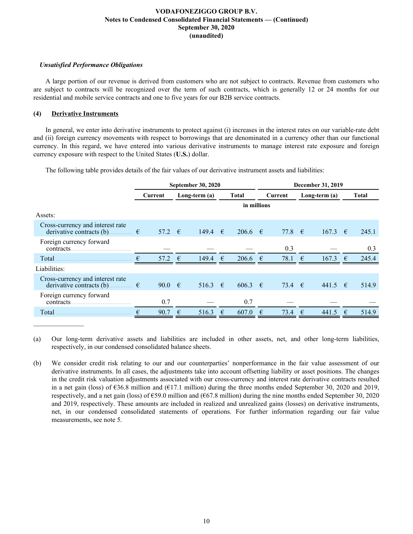# *Unsatisfied Performance Obligations*

A large portion of our revenue is derived from customers who are not subject to contracts. Revenue from customers who are subject to contracts will be recognized over the term of such contracts, which is generally 12 or 24 months for our residential and mobile service contracts and one to five years for our B2B service contracts.

# **(4) Derivative Instruments**

In general, we enter into derivative instruments to protect against (i) increases in the interest rates on our variable-rate debt and (ii) foreign currency movements with respect to borrowings that are denominated in a currency other than our functional currency. In this regard, we have entered into various derivative instruments to manage interest rate exposure and foreign currency exposure with respect to the United States (**U.S.**) dollar.

The following table provides details of the fair values of our derivative instrument assets and liabilities:

| December 31, 2019 |                                                                        |  |  |
|-------------------|------------------------------------------------------------------------|--|--|
| Long-term $(a)$   | <b>Total</b>                                                           |  |  |
|                   |                                                                        |  |  |
|                   |                                                                        |  |  |
| 167.3             | 245.1<br>$\epsilon$                                                    |  |  |
|                   | 0.3                                                                    |  |  |
| €<br>167.3        | 245.4<br>$\epsilon$                                                    |  |  |
|                   |                                                                        |  |  |
|                   | 514.9                                                                  |  |  |
|                   |                                                                        |  |  |
| €<br>441.5        | 514.9<br>€                                                             |  |  |
|                   | 77.8 $\epsilon$<br>0.3<br>78.1<br>73.4 $\epsilon$<br>$441.5$ €<br>73.4 |  |  |

(a) Our long-term derivative assets and liabilities are included in other assets, net, and other long-term liabilities, respectively, in our condensed consolidated balance sheets.

(b) We consider credit risk relating to our and our counterparties' nonperformance in the fair value assessment of our derivative instruments. In all cases, the adjustments take into account offsetting liability or asset positions. The changes in the credit risk valuation adjustments associated with our cross-currency and interest rate derivative contracts resulted in a net gain (loss) of  $\epsilon$ 36.8 million and ( $\epsilon$ 17.1 million) during the three months ended September 30, 2020 and 2019, respectively, and a net gain (loss) of €59.0 million and (€67.8 million) during the nine months ended September 30, 2020 and 2019, respectively. These amounts are included in realized and unrealized gains (losses) on derivative instruments, net, in our condensed consolidated statements of operations. For further information regarding our fair value measurements, see note 5.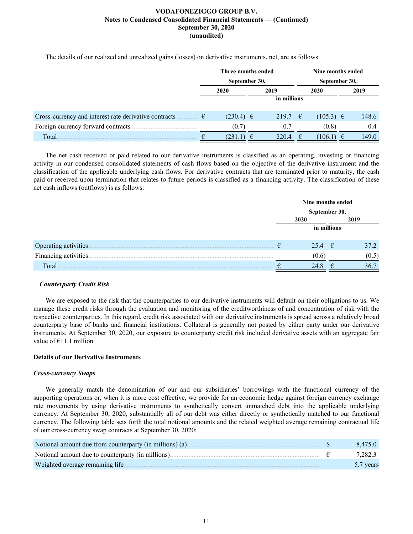The details of our realized and unrealized gains (losses) on derivative instruments, net, are as follows:

|                                                                                      | Three months ended |               |   |         | Nine months ended |               |  |       |
|--------------------------------------------------------------------------------------|--------------------|---------------|---|---------|-------------------|---------------|--|-------|
|                                                                                      | September 30,      |               |   |         | September 30,     |               |  |       |
|                                                                                      |                    | 2020          |   | 2019    |                   | 2020          |  | 2019  |
|                                                                                      |                    | in millions   |   |         |                   |               |  |       |
| Cross-currency and interest rate derivative contracts $\dots \dots \in \mathfrak{E}$ |                    | $(230.4) \in$ |   | 219.7 € |                   | $(105.3) \in$ |  | 148.6 |
| Foreign currency forward contracts                                                   |                    | (0.7)         |   | 0.7     |                   | (0.8)         |  | 0.4   |
| Total.                                                                               |                    | (231.1)       | € | 220.4   | €                 | 106.1)        |  | 149.0 |

The net cash received or paid related to our derivative instruments is classified as an operating, investing or financing activity in our condensed consolidated statements of cash flows based on the objective of the derivative instrument and the classification of the applicable underlying cash flows. For derivative contracts that are terminated prior to maturity, the cash paid or received upon termination that relates to future periods is classified as a financing activity. The classification of these net cash inflows (outflows) is as follows:

|                       |   | Nine months ended |   |       |  |  |  |
|-----------------------|---|-------------------|---|-------|--|--|--|
|                       |   | September 30,     |   |       |  |  |  |
|                       |   | 2019<br>2020      |   |       |  |  |  |
|                       |   | in millions       |   |       |  |  |  |
|                       | € | 25.4 $\epsilon$   |   | 37.2  |  |  |  |
| Financing activities. |   | (0.6)             |   | (0.5) |  |  |  |
| Total                 |   | 24.8              | € | 36.7  |  |  |  |

# *Counterparty Credit Risk*

We are exposed to the risk that the counterparties to our derivative instruments will default on their obligations to us. We manage these credit risks through the evaluation and monitoring of the creditworthiness of and concentration of risk with the respective counterparties. In this regard, credit risk associated with our derivative instruments is spread across a relatively broad counterparty base of banks and financial institutions. Collateral is generally not posted by either party under our derivative instruments. At September 30, 2020, our exposure to counterparty credit risk included derivative assets with an aggregate fair value of  $E11.1$  million.

# **Details of our Derivative Instruments**

### *Cross-currency Swaps*

We generally match the denomination of our and our subsidiaries' borrowings with the functional currency of the supporting operations or, when it is more cost effective, we provide for an economic hedge against foreign currency exchange rate movements by using derivative instruments to synthetically convert unmatched debt into the applicable underlying currency. At September 30, 2020, substantially all of our debt was either directly or synthetically matched to our functional currency. The following table sets forth the total notional amounts and the related weighted average remaining contractual life of our cross-currency swap contracts at September 30, 2020:

| Notional amount due from counterparty (in millions) (a) | 8.475.0   |
|---------------------------------------------------------|-----------|
| Notional amount due to counterparty (in millions)       | 7,282.3   |
| Weighted average remaining life.                        | 5.7 years |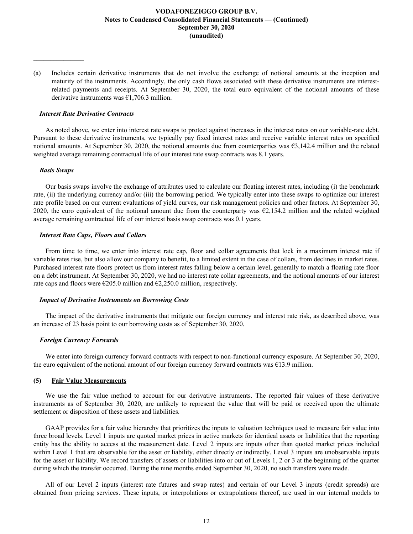(a) Includes certain derivative instruments that do not involve the exchange of notional amounts at the inception and maturity of the instruments. Accordingly, the only cash flows associated with these derivative instruments are interestrelated payments and receipts. At September 30, 2020, the total euro equivalent of the notional amounts of these derivative instruments was  $\epsilon$ 1,706.3 million.

### *Interest Rate Derivative Contracts*

As noted above, we enter into interest rate swaps to protect against increases in the interest rates on our variable-rate debt. Pursuant to these derivative instruments, we typically pay fixed interest rates and receive variable interest rates on specified notional amounts. At September 30, 2020, the notional amounts due from counterparties was  $\epsilon$ 3,142.4 million and the related weighted average remaining contractual life of our interest rate swap contracts was 8.1 years.

### *Basis Swaps*

 $\mathcal{L}=\mathcal{L}^{\mathcal{L}}$ 

Our basis swaps involve the exchange of attributes used to calculate our floating interest rates, including (i) the benchmark rate, (ii) the underlying currency and/or (iii) the borrowing period. We typically enter into these swaps to optimize our interest rate profile based on our current evaluations of yield curves, our risk management policies and other factors. At September 30, 2020, the euro equivalent of the notional amount due from the counterparty was  $\epsilon$ 2,154.2 million and the related weighted average remaining contractual life of our interest basis swap contracts was 0.1 years.

### *Interest Rate Caps, Floors and Collars*

From time to time, we enter into interest rate cap, floor and collar agreements that lock in a maximum interest rate if variable rates rise, but also allow our company to benefit, to a limited extent in the case of collars, from declines in market rates. Purchased interest rate floors protect us from interest rates falling below a certain level, generally to match a floating rate floor on a debt instrument. At September 30, 2020, we had no interest rate collar agreements, and the notional amounts of our interest rate caps and floors were  $\epsilon$ 205.0 million and  $\epsilon$ 2,250.0 million, respectively.

### *Impact of Derivative Instruments on Borrowing Costs*

The impact of the derivative instruments that mitigate our foreign currency and interest rate risk, as described above, was an increase of 23 basis point to our borrowing costs as of September 30, 2020.

### *Foreign Currency Forwards*

We enter into foreign currency forward contracts with respect to non-functional currency exposure. At September 30, 2020, the euro equivalent of the notional amount of our foreign currency forward contracts was  $\epsilon$ 13.9 million.

### **(5) Fair Value Measurements**

We use the fair value method to account for our derivative instruments. The reported fair values of these derivative instruments as of September 30, 2020, are unlikely to represent the value that will be paid or received upon the ultimate settlement or disposition of these assets and liabilities.

GAAP provides for a fair value hierarchy that prioritizes the inputs to valuation techniques used to measure fair value into three broad levels. Level 1 inputs are quoted market prices in active markets for identical assets or liabilities that the reporting entity has the ability to access at the measurement date. Level 2 inputs are inputs other than quoted market prices included within Level 1 that are observable for the asset or liability, either directly or indirectly. Level 3 inputs are unobservable inputs for the asset or liability. We record transfers of assets or liabilities into or out of Levels 1, 2 or 3 at the beginning of the quarter during which the transfer occurred. During the nine months ended September 30, 2020, no such transfers were made.

All of our Level 2 inputs (interest rate futures and swap rates) and certain of our Level 3 inputs (credit spreads) are obtained from pricing services. These inputs, or interpolations or extrapolations thereof, are used in our internal models to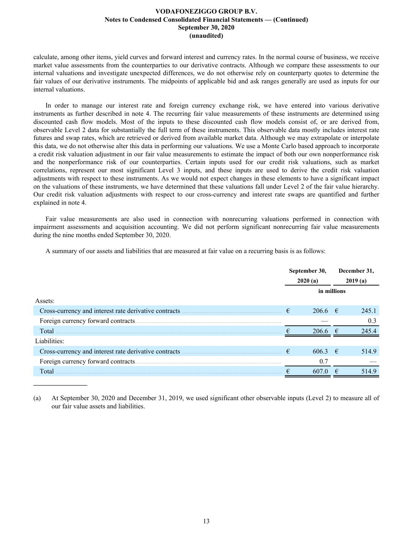calculate, among other items, yield curves and forward interest and currency rates. In the normal course of business, we receive market value assessments from the counterparties to our derivative contracts. Although we compare these assessments to our internal valuations and investigate unexpected differences, we do not otherwise rely on counterparty quotes to determine the fair values of our derivative instruments. The midpoints of applicable bid and ask ranges generally are used as inputs for our internal valuations.

In order to manage our interest rate and foreign currency exchange risk, we have entered into various derivative instruments as further described in note 4. The recurring fair value measurements of these instruments are determined using discounted cash flow models. Most of the inputs to these discounted cash flow models consist of, or are derived from, observable Level 2 data for substantially the full term of these instruments. This observable data mostly includes interest rate futures and swap rates, which are retrieved or derived from available market data. Although we may extrapolate or interpolate this data, we do not otherwise alter this data in performing our valuations. We use a Monte Carlo based approach to incorporate a credit risk valuation adjustment in our fair value measurements to estimate the impact of both our own nonperformance risk and the nonperformance risk of our counterparties. Certain inputs used for our credit risk valuations, such as market correlations, represent our most significant Level 3 inputs, and these inputs are used to derive the credit risk valuation adjustments with respect to these instruments. As we would not expect changes in these elements to have a significant impact on the valuations of these instruments, we have determined that these valuations fall under Level 2 of the fair value hierarchy. Our credit risk valuation adjustments with respect to our cross-currency and interest rate swaps are quantified and further explained in note 4.

Fair value measurements are also used in connection with nonrecurring valuations performed in connection with impairment assessments and acquisition accounting. We did not perform significant nonrecurring fair value measurements during the nine months ended September 30, 2020.

A summary of our assets and liabilities that are measured at fair value on a recurring basis is as follows:

|                                                       | September 30, |                     |   | December 31, |  |
|-------------------------------------------------------|---------------|---------------------|---|--------------|--|
|                                                       | 2020(a)       |                     |   | 2019(a)      |  |
|                                                       |               | in millions         |   |              |  |
| Assets:                                               |               |                     |   |              |  |
| Cross-currency and interest rate derivative contracts | €             | $206.6$ €           |   | 245.1        |  |
|                                                       |               |                     |   | 0.3          |  |
| Total                                                 |               | $2066 \text{ } \in$ |   | 245.4        |  |
| Liabilities:                                          |               |                     |   |              |  |
| Cross-currency and interest rate derivative contracts | €             | $606.3 \in$         |   | 514.9        |  |
| Foreign currency forward contracts.                   |               | 0.7                 |   |              |  |
| Total                                                 |               | 607.0               | € | 514.9        |  |

(a) At September 30, 2020 and December 31, 2019, we used significant other observable inputs (Level 2) to measure all of our fair value assets and liabilities.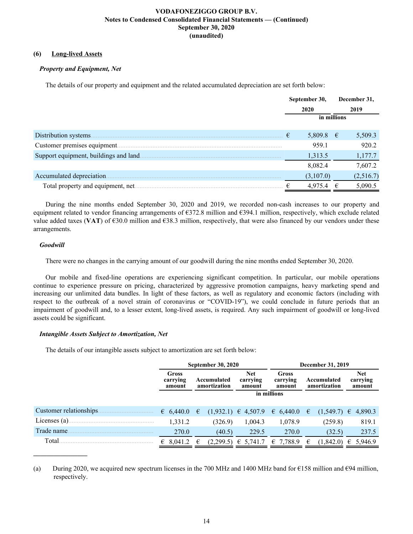# **(6) Long-lived Assets**

# *Property and Equipment, Net*

The details of our property and equipment and the related accumulated depreciation are set forth below:

|                                        | September 30,<br>2020<br>959.1<br>1,313.5<br>8,082.4 |             |   | December 31, |
|----------------------------------------|------------------------------------------------------|-------------|---|--------------|
|                                        |                                                      |             |   | 2019         |
|                                        |                                                      | in millions |   |              |
| Distribution systems.                  |                                                      | 5,809.8 €   |   | 5,509.3      |
| Customer premises equipment            |                                                      |             |   | 920.2        |
| Support equipment, buildings and land. |                                                      |             |   | 1,177.7      |
|                                        |                                                      |             |   | 7,607.2      |
| Accumulated depreciation.              |                                                      | (3,107.0)   |   | (2,516.7)    |
| Total property and equipment, net.     |                                                      | 4,975.4     | € | 5,090.5      |

During the nine months ended September 30, 2020 and 2019, we recorded non-cash increases to our property and equipment related to vendor financing arrangements of  $\epsilon$ 372.8 million and  $\epsilon$ 394.1 million, respectively, which exclude related value added taxes (VAT) of  $\epsilon$ 30.0 million and  $\epsilon$ 38.3 million, respectively, that were also financed by our vendors under these arrangements.

# *Goodwill*

**\_\_\_\_\_\_\_\_\_\_\_\_\_\_\_\_**

There were no changes in the carrying amount of our goodwill during the nine months ended September 30, 2020.

Our mobile and fixed-line operations are experiencing significant competition. In particular, our mobile operations continue to experience pressure on pricing, characterized by aggressive promotion campaigns, heavy marketing spend and increasing our unlimited data bundles. In light of these factors, as well as regulatory and economic factors (including with respect to the outbreak of a novel strain of coronavirus or "COVID-19"), we could conclude in future periods that an impairment of goodwill and, to a lesser extent, long-lived assets, is required. Any such impairment of goodwill or long-lived assets could be significant.

# *Intangible Assets Subject to Amortization, Net*

The details of our intangible assets subject to amortization are set forth below:

|                         |                             |   | <b>September 30, 2020</b>   |                                  | December 31, 2019                       |   |                             |   |                                  |
|-------------------------|-----------------------------|---|-----------------------------|----------------------------------|-----------------------------------------|---|-----------------------------|---|----------------------------------|
|                         | Gross<br>carrying<br>amount |   | Accumulated<br>amortization | <b>Net</b><br>carrying<br>amount | Gross<br>carrying<br>amount             |   | Accumulated<br>amortization |   | <b>Net</b><br>carrying<br>amount |
|                         |                             |   |                             | in millions                      |                                         |   |                             |   |                                  |
| Customer relationships. | 6,440.0                     | € |                             |                                  | $(1,932.1) \in 4,507.9 \in 6,440.0 \in$ |   | $(1,549.7) \in$             |   | 4,890.3                          |
| Licenses $(a)$ .        | 1,331.2                     |   | (326.9)                     | 1,004.3                          | 1,078.9                                 |   | (259.8)                     |   | 819.1                            |
| Trade name              | 270.0                       |   | (40.5)                      | 229.5                            | 270.0                                   |   | (32.5)                      |   | 237.5                            |
| Total                   | 8,041.2<br>€                | € | (2,299.5)                   | $\epsilon$ 5.741.7               | € 7,788.9                               | € | (1, 842.0)                  | € | 5,946.9                          |

(a) During 2020, we acquired new spectrum licenses in the 700 MHz and 1400 MHz band for  $\epsilon$ 158 million and  $\epsilon$ 94 million, respectively.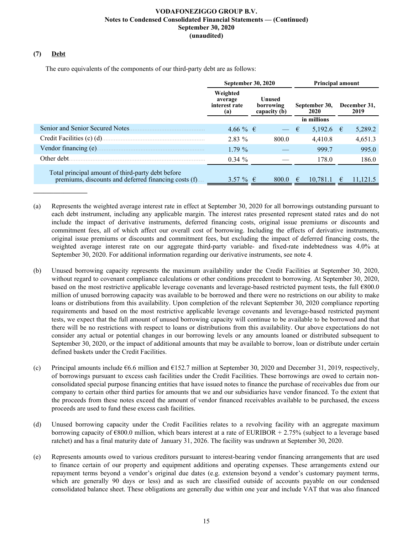# **(7) Debt**

The euro equivalents of the components of our third-party debt are as follows:

|                                                                                                           | September 30, 2020                          |                                     | <b>Principal amount</b> |                        |  |  |  |
|-----------------------------------------------------------------------------------------------------------|---------------------------------------------|-------------------------------------|-------------------------|------------------------|--|--|--|
|                                                                                                           | Weighted<br>average<br>interest rate<br>(a) | Unused<br>borrowing<br>capacity (b) | September 30,<br>2020   | December 31,<br>2019   |  |  |  |
|                                                                                                           |                                             |                                     | in millions             |                        |  |  |  |
| Senior and Senior Secured Notes.                                                                          | $4.66\%$ €                                  | $\overline{\phantom{a}}$            | 5,192.6 €<br>€          | 5,289.2                |  |  |  |
| Credit Facilities (c) (d).                                                                                | 2.83%                                       | 800.0                               | 4,410.8                 | 4,651.3                |  |  |  |
| Vendor financing (e).                                                                                     | $1.79\%$                                    |                                     | 999.7                   | 995.0                  |  |  |  |
| Other debt.                                                                                               | $0.34 \%$                                   |                                     | 178.0                   | 186.0                  |  |  |  |
| Total principal amount of third-party debt before<br>premiums, discounts and deferred financing costs (f) | 3.57 % $\in$                                | $8000 \quad \in$                    | 10.781.1                | 11 121 5<br>$\epsilon$ |  |  |  |

- (a) Represents the weighted average interest rate in effect at September 30, 2020 for all borrowings outstanding pursuant to each debt instrument, including any applicable margin. The interest rates presented represent stated rates and do not include the impact of derivative instruments, deferred financing costs, original issue premiums or discounts and commitment fees, all of which affect our overall cost of borrowing. Including the effects of derivative instruments, original issue premiums or discounts and commitment fees, but excluding the impact of deferred financing costs, the weighted average interest rate on our aggregate third-party variable- and fixed-rate indebtedness was 4.0% at September 30, 2020. For additional information regarding our derivative instruments, see note 4.
- (b) Unused borrowing capacity represents the maximum availability under the Credit Facilities at September 30, 2020, without regard to covenant compliance calculations or other conditions precedent to borrowing. At September 30, 2020, based on the most restrictive applicable leverage covenants and leverage-based restricted payment tests, the full €800.0 million of unused borrowing capacity was available to be borrowed and there were no restrictions on our ability to make loans or distributions from this availability. Upon completion of the relevant September 30, 2020 compliance reporting requirements and based on the most restrictive applicable leverage covenants and leverage-based restricted payment tests, we expect that the full amount of unused borrowing capacity will continue to be available to be borrowed and that there will be no restrictions with respect to loans or distributions from this availability. Our above expectations do not consider any actual or potential changes in our borrowing levels or any amounts loaned or distributed subsequent to September 30, 2020, or the impact of additional amounts that may be available to borrow, loan or distribute under certain defined baskets under the Credit Facilities.
- (c) Principal amounts include  $66.6$  million and  $6152.7$  million at September 30, 2020 and December 31, 2019, respectively, of borrowings pursuant to excess cash facilities under the Credit Facilities. These borrowings are owed to certain nonconsolidated special purpose financing entities that have issued notes to finance the purchase of receivables due from our company to certain other third parties for amounts that we and our subsidiaries have vendor financed. To the extent that the proceeds from these notes exceed the amount of vendor financed receivables available to be purchased, the excess proceeds are used to fund these excess cash facilities.
- (d) Unused borrowing capacity under the Credit Facilities relates to a revolving facility with an aggregate maximum borrowing capacity of €800.0 million, which bears interest at a rate of EURIBOR + 2.75% (subject to a leverage based ratchet) and has a final maturity date of January 31, 2026. The facility was undrawn at September 30, 2020.
- (e) Represents amounts owed to various creditors pursuant to interest-bearing vendor financing arrangements that are used to finance certain of our property and equipment additions and operating expenses. These arrangements extend our repayment terms beyond a vendor's original due dates (e.g. extension beyond a vendor's customary payment terms, which are generally 90 days or less) and as such are classified outside of accounts payable on our condensed consolidated balance sheet. These obligations are generally due within one year and include VAT that was also financed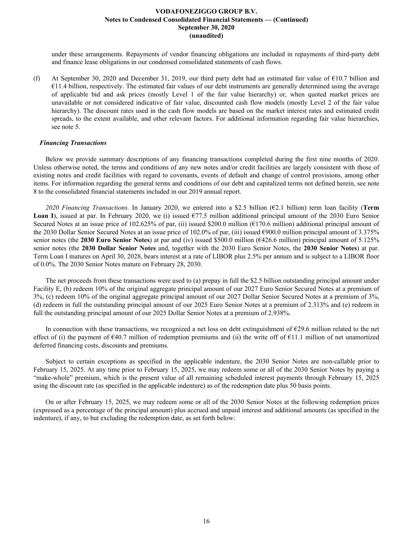under these arrangements. Repayments of vendor financing obligations are included in repayments of third-party debt and finance lease obligations in our condensed consolidated statements of cash flows.

(f) At September 30, 2020 and December 31, 2019, our third party debt had an estimated fair value of  $\epsilon$ 10.7 billion and  $€11.4$  billion, respectively. The estimated fair values of our debt instruments are generally determined using the average of applicable bid and ask prices (mostly Level 1 of the fair value hierarchy) or, when quoted market prices are unavailable or not considered indicative of fair value, discounted cash flow models (mostly Level 2 of the fair value hierarchy). The discount rates used in the cash flow models are based on the market interest rates and estimated credit spreads, to the extent available, and other relevant factors. For additional information regarding fair value hierarchies, see note 5.

### *Financing Transactions*

Below we provide summary descriptions of any financing transactions completed during the first nine months of 2020. Unless otherwise noted, the terms and conditions of any new notes and/or credit facilities are largely consistent with those of existing notes and credit facilities with regard to covenants, events of default and change of control provisions, among other items. For information regarding the general terms and conditions of our debt and capitalized terms not defined herein, see note 8 to the consolidated financial statements included in our 2019 annual report.

2020 Financing Transactions. In January 2020, we entered into a \$2.5 billion ( $\epsilon$ 2.1 billion) term loan facility (**Term Loan I**), issued at par. In February 2020, we (i) issued €77.5 million additional principal amount of the 2030 Euro Senior Secured Notes at an issue price of 102.625% of par, (ii) issued \$200.0 million ( $\epsilon$ 170.6 million) additional principal amount of the 2030 Dollar Senior Secured Notes at an issue price of 102.0% of par, (iii) issued €900.0 million principal amount of 3.375% senior notes (the **2030 Euro Senior Notes**) at par and (iv) issued \$500.0 million (€426.6 million) principal amount of 5.125% senior notes (the **2030 Dollar Senior Notes** and, together with the 2030 Euro Senior Notes, the **2030 Senior Notes**) at par. Term Loan I matures on April 30, 2028, bears interest at a rate of LIBOR plus 2.5% per annum and is subject to a LIBOR floor of 0.0%. The 2030 Senior Notes mature on February 28, 2030.

The net proceeds from these transactions were used to (a) prepay in full the \$2.5 billion outstanding principal amount under Facility E, (b) redeem 10% of the original aggregate principal amount of our 2027 Euro Senior Secured Notes at a premium of 3%, (c) redeem 10% of the original aggregate principal amount of our 2027 Dollar Senior Secured Notes at a premium of 3%, (d) redeem in full the outstanding principal amount of our 2025 Euro Senior Notes at a premium of 2.313% and (e) redeem in full the outstanding principal amount of our 2025 Dollar Senior Notes at a premium of 2.938%.

In connection with these transactions, we recognized a net loss on debt extinguishment of  $\epsilon$ 29.6 million related to the net effect of (i) the payment of  $\epsilon$ 40.7 million of redemption premiums and (ii) the write off of  $\epsilon$ 11.1 million of net unamortized deferred financing costs, discounts and premiums.

Subject to certain exceptions as specified in the applicable indenture, the 2030 Senior Notes are non-callable prior to February 15, 2025. At any time prior to February 15, 2025, we may redeem some or all of the 2030 Senior Notes by paying a "make-whole" premium, which is the present value of all remaining scheduled interest payments through February 15, 2025 using the discount rate (as specified in the applicable indenture) as of the redemption date plus 50 basis points.

On or after February 15, 2025, we may redeem some or all of the 2030 Senior Notes at the following redemption prices (expressed as a percentage of the principal amount) plus accrued and unpaid interest and additional amounts (as specified in the indenture), if any, to but excluding the redemption date, as set forth below: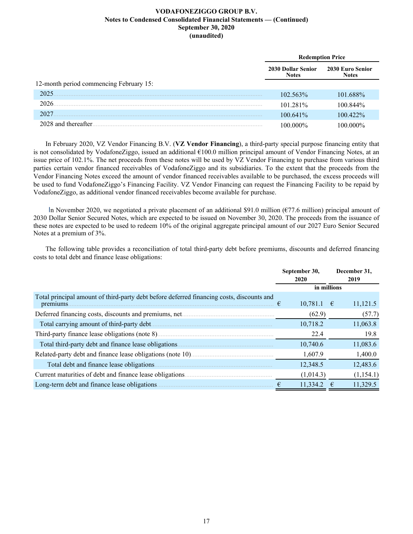|                                         |                                           | <b>Redemption Price</b>          |
|-----------------------------------------|-------------------------------------------|----------------------------------|
|                                         | <b>2030 Dollar Senior</b><br><b>Notes</b> | 2030 Euro Senior<br><b>Notes</b> |
| 12-month period commencing February 15: |                                           |                                  |
| 2025                                    | 102.563%                                  | 101.688%                         |
| 2026                                    | 101.281%                                  | 100 844%                         |
| 2027                                    | 100.641%                                  | $100.422\%$                      |
| 2028 and thereafter                     | 100 000%                                  | .00 000%                         |

In February 2020, VZ Vendor Financing B.V. (**VZ Vendor Financing**), a third-party special purpose financing entity that is not consolidated by VodafoneZiggo, issued an additional €100.0 million principal amount of Vendor Financing Notes, at an issue price of 102.1%. The net proceeds from these notes will be used by VZ Vendor Financing to purchase from various third parties certain vendor financed receivables of VodafoneZiggo and its subsidiaries. To the extent that the proceeds from the Vendor Financing Notes exceed the amount of vendor financed receivables available to be purchased, the excess proceeds will be used to fund VodafoneZiggo's Financing Facility. VZ Vendor Financing can request the Financing Facility to be repaid by VodafoneZiggo, as additional vendor financed receivables become available for purchase.

In November 2020, we negotiated a private placement of an additional \$91.0 million ( $\epsilon$ 77.6 million) principal amount of 2030 Dollar Senior Secured Notes, which are expected to be issued on November 30, 2020. The proceeds from the issuance of these notes are expected to be used to redeem 10% of the original aggregate principal amount of our 2027 Euro Senior Secured Notes at a premium of 3%.

The following table provides a reconciliation of total third-party debt before premiums, discounts and deferred financing costs to total debt and finance lease obligations:

|                                                                                                       |   | September 30,<br>2020 |   | December 31,<br>2019 |
|-------------------------------------------------------------------------------------------------------|---|-----------------------|---|----------------------|
|                                                                                                       |   | in millions           |   |                      |
| Total principal amount of third-party debt before deferred financing costs, discounts and<br>premiums | € | $10,781.1$ €          |   | 11,121.5             |
|                                                                                                       |   | (62.9)                |   | (57.7)               |
| Total carrying amount of third-party debt                                                             |   | 10,718.2              |   | 11,063.8             |
|                                                                                                       |   | 22.4                  |   | 19.8                 |
| Total third-party debt and finance lease obligations                                                  |   | 10,740.6              |   | 11,083.6             |
|                                                                                                       |   | 1,607.9               |   | 1,400.0              |
| Total debt and finance lease obligations.                                                             |   | 12,348.5              |   | 12,483.6             |
| Current maturities of debt and finance lease obligations.                                             |   | (1,014.3)             |   | (1,154.1)            |
| Long-term debt and finance lease obligations.                                                         |   | 11,334.2              | € | 11,329.5             |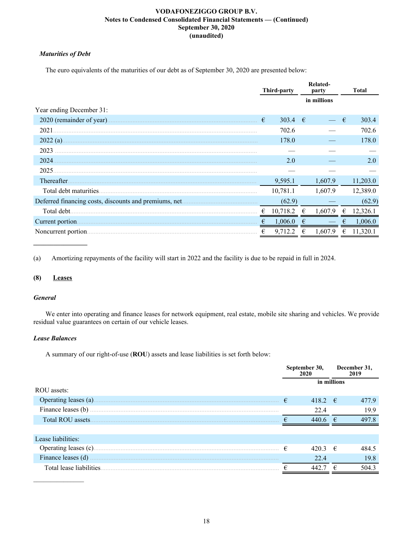# *Maturities of Debt*

The euro equivalents of the maturities of our debt as of September 30, 2020 are presented below:

|                           |   | Third-party |   | <b>Related-</b><br>party |   | <b>Total</b> |
|---------------------------|---|-------------|---|--------------------------|---|--------------|
|                           |   |             |   | in millions              |   |              |
| Year ending December 31:  |   |             |   |                          |   |              |
| 2020 (remainder of year). | € | 303.4 $\in$ |   |                          | € | 303.4        |
| 2021                      |   | 702.6       |   |                          |   | 702.6        |
| $2022(a)$ .               |   | 178.0       |   |                          |   | 178.0        |
| 2023                      |   |             |   |                          |   |              |
| 2024                      |   | 2.0         |   |                          |   | 2.0          |
| 2025                      |   |             |   |                          |   |              |
| Thereafter.               |   | 9,595.1     |   | 1,607.9                  |   | 11,203.0     |
| Total debt maturities.    |   | 10,781.1    |   | 1,607.9                  |   | 12,389.0     |
|                           |   | (62.9)      |   |                          |   | (62.9)       |
| Total debt.               |   | 10,718.2    | € | 1.607.9                  | € | 12,326.1     |
| Current portion.          |   | 1,006.0     |   |                          |   | 1,006.0      |
| Noncurrent portion.       | € | 9,712.2     |   | 1.607.9                  | € | 11,320.1     |

(a) Amortizing repayments of the facility will start in 2022 and the facility is due to be repaid in full in 2024.

# **(8) Leases**

### *General*

We enter into operating and finance leases for network equipment, real estate, mobile site sharing and vehicles. We provide residual value guarantees on certain of our vehicle leases.

# *Lease Balances*

A summary of our right-of-use (**ROU**) assets and lease liabilities is set forth below:

|                          |   | September 30,<br>2020 |   | December 31,<br>2019 |
|--------------------------|---|-----------------------|---|----------------------|
| ROU assets:              |   | in millions           |   |                      |
|                          |   |                       |   |                      |
| Operating leases (a).    | € | 418.2 $\in$           |   | 477.9                |
| Finance leases (b)       |   | 22.4                  |   | 19.9                 |
| Total ROU assets         |   | 440.6 $\in$           |   | 497.8                |
|                          |   |                       |   |                      |
| Lease liabilities:       |   |                       |   |                      |
| Operating leases (c).    | € | 420.3 $\in$           |   | 484.5                |
| Finance leases (d)       |   | 22.4                  |   | 19.8                 |
| Total lease liabilities. |   | 442.                  | ₽ | 504.3                |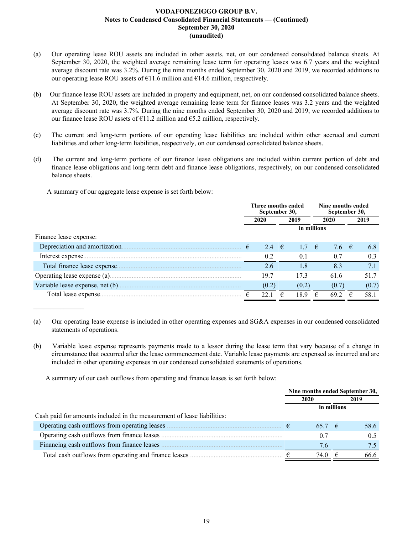- (a) Our operating lease ROU assets are included in other assets, net, on our condensed consolidated balance sheets. At September 30, 2020, the weighted average remaining lease term for operating leases was 6.7 years and the weighted average discount rate was 3.2%. During the nine months ended September 30, 2020 and 2019, we recorded additions to our operating lease ROU assets of  $\epsilon$ 11.6 million and  $\epsilon$ 14.6 million, respectively.
- (b) Our finance lease ROU assets are included in property and equipment, net, on our condensed consolidated balance sheets. At September 30, 2020, the weighted average remaining lease term for finance leases was 3.2 years and the weighted average discount rate was 3.7%. During the nine months ended September 30, 2020 and 2019, we recorded additions to our finance lease ROU assets of  $E11.2$  million and  $E5.2$  million, respectively.
- (c) The current and long-term portions of our operating lease liabilities are included within other accrued and current liabilities and other long-term liabilities, respectively, on our condensed consolidated balance sheets.
- (d) The current and long-term portions of our finance lease obligations are included within current portion of debt and finance lease obligations and long-term debt and finance lease obligations, respectively, on our condensed consolidated balance sheets.

A summary of our aggregate lease expense is set forth below:

|                                | Three months ended<br>September 30, |       |            |             | Nine months ended<br>September 30, |                |       |
|--------------------------------|-------------------------------------|-------|------------|-------------|------------------------------------|----------------|-------|
|                                | 2020                                |       | 2019       |             | 2020                               |                | 2019  |
|                                |                                     |       |            | in millions |                                    |                |       |
| Finance lease expense:         |                                     |       |            |             |                                    |                |       |
| Depreciation and amortization. | €                                   | 2.4   | $\epsilon$ | 1.7         | $\epsilon$                         | 7.6 $\epsilon$ | 6.8   |
|                                |                                     | 0.2   |            | 0.1         |                                    | 0.7            | 0.3   |
| Total finance lease expense.   |                                     | 2.6   |            | 1.8         |                                    | 8.3            | 7.1   |
|                                |                                     | 19.7  |            | 17.3        |                                    | 61.6           | 51.7  |
|                                |                                     | (0.2) |            | (0.2)       |                                    | (0.7)          | (0.7) |
| Total lease expense.           |                                     | 22.1  |            | 18.9        | €                                  | 69.2           | 58.1  |

(a) Our operating lease expense is included in other operating expenses and SG&A expenses in our condensed consolidated statements of operations.

(b) Variable lease expense represents payments made to a lessor during the lease term that vary because of a change in circumstance that occurred after the lease commencement date. Variable lease payments are expensed as incurred and are included in other operating expenses in our condensed consolidated statements of operations.

A summary of our cash outflows from operating and finance leases is set forth below:

|                                                                         |             | Nine months ended September 30, |      |  |
|-------------------------------------------------------------------------|-------------|---------------------------------|------|--|
|                                                                         | 2020        |                                 | 2019 |  |
|                                                                         | in millions |                                 |      |  |
| Cash paid for amounts included in the measurement of lease liabilities: |             |                                 |      |  |
|                                                                         | $657$ €     |                                 | 58.6 |  |
|                                                                         | 0.7         |                                 | 0.5  |  |
| Financing cash outflows from finance leases.<br><b>CONTRACTOR</b>       | 7.6         |                                 |      |  |
| Total cash outflows from operating and finance leases                   | 74 O        | €                               | 66 6 |  |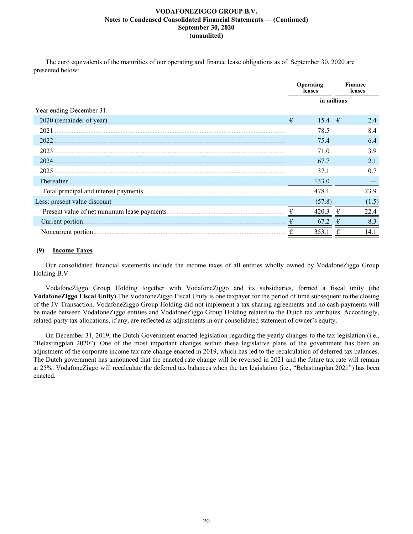The euro equivalents of the maturities of our operating and finance lease obligations as of September 30, 2020 are presented below:

|                                       |   | Operating<br>leases |   | Finance<br>leases |
|---------------------------------------|---|---------------------|---|-------------------|
|                                       |   | in millions         |   |                   |
| Year ending December 31:              |   |                     |   |                   |
| 2020 (remainder of year).             | € | 15.4 $\epsilon$     |   | 2.4               |
| 2021                                  |   | 78.5                |   | 8.4               |
| 2022                                  |   | 75.4                |   | 6.4               |
| 2023                                  |   | 71.0                |   | 3.9               |
| 2024                                  |   | 67.7                |   | 2.1               |
| 2025                                  |   | 37.1                |   | 0.7               |
| Thereafter.                           |   | 133.0               |   |                   |
| Total principal and interest payments |   | 478.1               |   | 23.9              |
| Less: present value discount          |   | (57.8)              |   | (1.5)             |
|                                       |   | 420.3               |   | 22.4              |
| Current portion.                      | € | 67.2                | € | 8.3               |
|                                       |   | 353.1               |   | 14.1              |

# **(9) Income Taxes**

Our consolidated financial statements include the income taxes of all entities wholly owned by VodafoneZiggo Group Holding B.V.

VodafoneZiggo Group Holding together with VodafoneZiggo and its subsidiaries, formed a fiscal unity (the **VodafoneZiggo Fiscal Unity)**.The VodafoneZiggo Fiscal Unity is one taxpayer for the period of time subsequent to the closing of the JV Transaction. VodafoneZiggo Group Holding did not implement a tax-sharing agreements and no cash payments will be made between VodafoneZiggo entities and VodafoneZiggo Group Holding related to the Dutch tax attributes. Accordingly, related-party tax allocations, if any, are reflected as adjustments in our consolidated statement of owner's equity.

On December 31, 2019, the Dutch Government enacted legislation regarding the yearly changes to the tax legislation (i.e., "Belastingplan 2020"). One of the most important changes within these legislative plans of the government has been an adjustment of the corporate income tax rate change enacted in 2019, which has led to the recalculation of deferred tax balances. The Dutch government has announced that the enacted rate change will be reversed in 2021 and the future tax rate will remain at 25%. VodafoneZiggo will recalculate the deferred tax balances when the tax legislation (i.e., "Belastingplan 2021") has been enacted.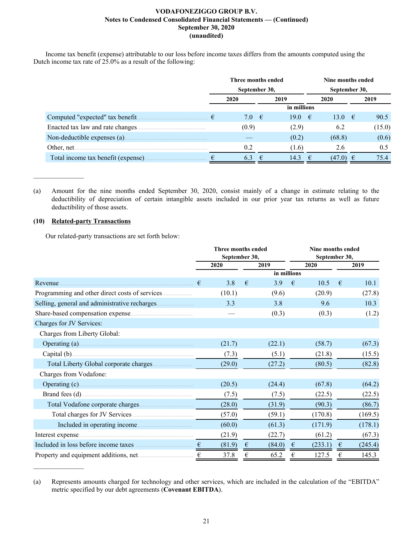Income tax benefit (expense) attributable to our loss before income taxes differs from the amounts computed using the Dutch income tax rate of 25.0% as a result of the following:

|                                     | Three months ended |                |   |             |    | Nine months ended |               |        |  |  |  |
|-------------------------------------|--------------------|----------------|---|-------------|----|-------------------|---------------|--------|--|--|--|
|                                     |                    | September 30,  |   |             |    |                   | September 30, |        |  |  |  |
|                                     |                    | 2020           |   | 2019        |    | 2020              |               | 2019   |  |  |  |
|                                     |                    |                |   | in millions |    |                   |               |        |  |  |  |
|                                     |                    | 7.0 $\epsilon$ |   | 19.0        | −€ | 13.0              | −€            | 90.5   |  |  |  |
| Enacted tax law and rate changes    |                    | (0.9)          |   | (2.9)       |    | 6.2               |               | (15.0) |  |  |  |
|                                     |                    |                |   | (0.2)       |    | (68.8)            |               | (0.6)  |  |  |  |
| Other, net.                         |                    | 0.2            |   | (1.6)       |    | 2.6               |               | 0.5    |  |  |  |
| Total income tax benefit (expense). |                    | 6.3            | € | 14.3        | €  | $(47.0) \in$      |               | 75.4   |  |  |  |

(a) Amount for the nine months ended September 30, 2020, consist mainly of a change in estimate relating to the deductibility of depreciation of certain intangible assets included in our prior year tax returns as well as future deductibility of those assets.

# **(10) Related-party Transactions**

 $\mathcal{L}_\text{max}$  , where  $\mathcal{L}_\text{max}$ 

 $\frac{1}{2}$ 

Our related-party transactions are set forth below:

|                                      |   | Three months ended |   |             | Nine months ended |               |   |         |  |  |  |
|--------------------------------------|---|--------------------|---|-------------|-------------------|---------------|---|---------|--|--|--|
|                                      |   | September 30,      |   |             |                   | September 30, |   |         |  |  |  |
|                                      |   | 2020               |   | 2019        |                   | 2020          |   | 2019    |  |  |  |
|                                      |   |                    |   | in millions |                   |               |   |         |  |  |  |
| Revenue                              | € | 3.8                | € | 3.9         | $\epsilon$        | 10.5          | € | 10.1    |  |  |  |
|                                      |   | (10.1)             |   | (9.6)       |                   | (20.9)        |   | (27.8)  |  |  |  |
|                                      |   | 3.3                |   | 3.8         |                   | 9.6           |   | 10.3    |  |  |  |
|                                      |   |                    |   | (0.3)       |                   | (0.3)         |   | (1.2)   |  |  |  |
| Charges for JV Services:             |   |                    |   |             |                   |               |   |         |  |  |  |
| Charges from Liberty Global:         |   |                    |   |             |                   |               |   |         |  |  |  |
|                                      |   | (21.7)             |   | (22.1)      |                   | (58.7)        |   | (67.3)  |  |  |  |
|                                      |   | (7.3)              |   | (5.1)       |                   | (21.8)        |   | (15.5)  |  |  |  |
|                                      |   | (29.0)             |   | (27.2)      |                   | (80.5)        |   | (82.8)  |  |  |  |
| Charges from Vodafone:               |   |                    |   |             |                   |               |   |         |  |  |  |
|                                      |   | (20.5)             |   | (24.4)      |                   | (67.8)        |   | (64.2)  |  |  |  |
|                                      |   | (7.5)              |   | (7.5)       |                   | (22.5)        |   | (22.5)  |  |  |  |
|                                      |   | (28.0)             |   | (31.9)      |                   | (90.3)        |   | (86.7)  |  |  |  |
|                                      |   | (57.0)             |   | (59.1)      |                   | (170.8)       |   | (169.5) |  |  |  |
|                                      |   | (60.0)             |   | (61.3)      |                   | (171.9)       |   | (178.1) |  |  |  |
|                                      |   | (21.9)             |   | (22.7)      |                   | (61.2)        |   | (67.3)  |  |  |  |
| Included in loss before income taxes | € | (81.9)             | € | (84.0)      | €                 | (233.1)       | € | (245.4) |  |  |  |
|                                      | € | 37.8               | € | 65.2        | €                 | 127.5         | € | 145.3   |  |  |  |

<sup>(</sup>a) Represents amounts charged for technology and other services, which are included in the calculation of the "EBITDA" metric specified by our debt agreements (**Covenant EBITDA**).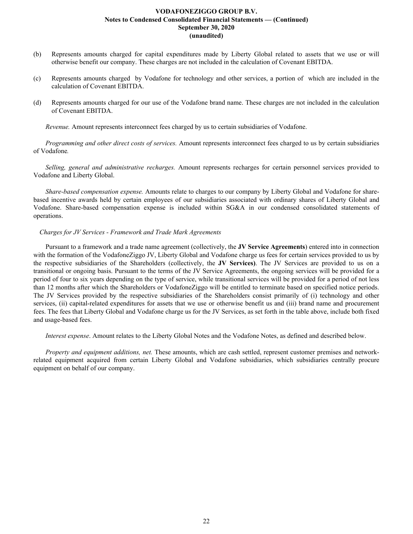- (b) Represents amounts charged for capital expenditures made by Liberty Global related to assets that we use or will otherwise benefit our company. These charges are not included in the calculation of Covenant EBITDA.
- (c) Represents amounts charged by Vodafone for technology and other services, a portion of which are included in the calculation of Covenant EBITDA.
- (d) Represents amounts charged for our use of the Vodafone brand name. These charges are not included in the calculation of Covenant EBITDA.

*Revenue.* Amount represents interconnect fees charged by us to certain subsidiaries of Vodafone.

*Programming and other direct costs of services.* Amount represents interconnect fees charged to us by certain subsidiaries of Vodafone*.*

*Selling, general and administrative recharges.* Amount represents recharges for certain personnel services provided to Vodafone and Liberty Global.

*Share-based compensation expense.* Amounts relate to charges to our company by Liberty Global and Vodafone for sharebased incentive awards held by certain employees of our subsidiaries associated with ordinary shares of Liberty Global and Vodafone. Share-based compensation expense is included within SG&A in our condensed consolidated statements of operations.

# *Charges for JV Services - Framework and Trade Mark Agreements*

Pursuant to a framework and a trade name agreement (collectively, the **JV Service Agreements**) entered into in connection with the formation of the VodafoneZiggo JV, Liberty Global and Vodafone charge us fees for certain services provided to us by the respective subsidiaries of the Shareholders (collectively, the **JV Services)**. The JV Services are provided to us on a transitional or ongoing basis. Pursuant to the terms of the JV Service Agreements, the ongoing services will be provided for a period of four to six years depending on the type of service, while transitional services will be provided for a period of not less than 12 months after which the Shareholders or VodafoneZiggo will be entitled to terminate based on specified notice periods. The JV Services provided by the respective subsidiaries of the Shareholders consist primarily of (i) technology and other services, (ii) capital-related expenditures for assets that we use or otherwise benefit us and (iii) brand name and procurement fees. The fees that Liberty Global and Vodafone charge us for the JV Services, as set forth in the table above, include both fixed and usage-based fees.

*Interest expense*. Amount relates to the Liberty Global Notes and the Vodafone Notes, as defined and described below.

*Property and equipment additions, net.* These amounts, which are cash settled, represent customer premises and networkrelated equipment acquired from certain Liberty Global and Vodafone subsidiaries, which subsidiaries centrally procure equipment on behalf of our company.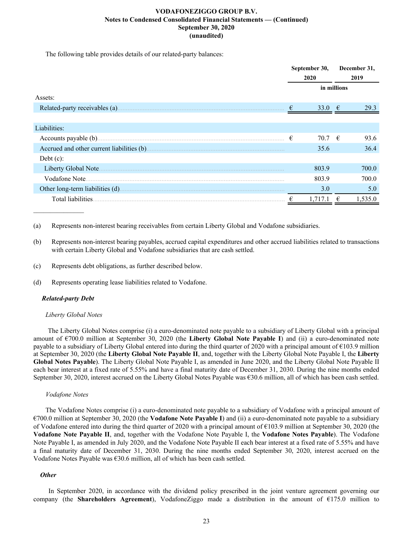The following table provides details of our related-party balances:

|                     |   | September 30, |            | December 31, |
|---------------------|---|---------------|------------|--------------|
|                     |   | 2020          |            | 2019         |
|                     |   | in millions   |            |              |
| Assets:             |   |               |            |              |
|                     | € | 33.0          | $\epsilon$ | 29.3         |
|                     |   |               |            |              |
| Liabilities:        |   |               |            |              |
|                     | € | 70.7 $\in$    |            | 93.6         |
|                     |   | 35.6          |            | 36.4         |
| Debt $(c)$ :        |   |               |            |              |
| Liberty Global Note |   | 803.9         |            | 700.0        |
| Vodafone Note       |   | 803.9         |            | 700.0        |
|                     |   | 3.0           |            | 5.0          |
| Total liabilities.  | € |               |            | 1,535.0      |

(a) Represents non-interest bearing receivables from certain Liberty Global and Vodafone subsidiaries.

(b) Represents non-interest bearing payables, accrued capital expenditures and other accrued liabilities related to transactions with certain Liberty Global and Vodafone subsidiaries that are cash settled.

- (c) Represents debt obligations, as further described below.
- (d) Represents operating lease liabilities related to Vodafone.

# *Related-party Debt*

### *Liberty Global Notes*

 The Liberty Global Notes comprise (i) a euro-denominated note payable to a subsidiary of Liberty Global with a principal amount of €700.0 million at September 30, 2020 (the **Liberty Global Note Payable I**) and (ii) a euro-denominated note payable to a subsidiary of Liberty Global entered into during the third quarter of 2020 with a principal amount of €103.9 million at September 30, 2020 (the **Liberty Global Note Payable II**, and, together with the Liberty Global Note Payable I, the **Liberty Global Notes Payable**). The Liberty Global Note Payable I, as amended in June 2020, and the Liberty Global Note Payable II each bear interest at a fixed rate of 5.55% and have a final maturity date of December 31, 2030. During the nine months ended September 30, 2020, interest accrued on the Liberty Global Notes Payable was €30.6 million, all of which has been cash settled.

### *Vodafone Notes*

The Vodafone Notes comprise (i) a euro-denominated note payable to a subsidiary of Vodafone with a principal amount of €700.0 million at September 30, 2020 (the **Vodafone Note Payable I**) and (ii) a euro-denominated note payable to a subsidiary of Vodafone entered into during the third quarter of 2020 with a principal amount of €103.9 million at September 30, 2020 (the **Vodafone Note Payable II**, and, together with the Vodafone Note Payable I, the **Vodafone Notes Payable**). The Vodafone Note Payable I, as amended in July 2020, and the Vodafone Note Payable II each bear interest at a fixed rate of 5.55% and have a final maturity date of December 31, 2030. During the nine months ended September 30, 2020, interest accrued on the Vodafone Notes Payable was €30.6 million, all of which has been cash settled.

### *Other*

 In September 2020, in accordance with the dividend policy prescribed in the joint venture agreement governing our company (the **Shareholders Agreement**), VodafoneZiggo made a distribution in the amount of €175.0 million to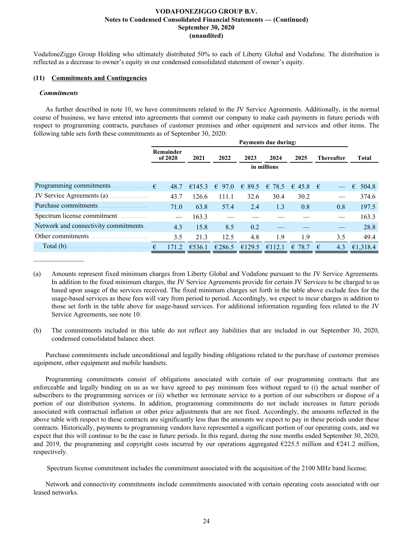VodafoneZiggo Group Holding who ultimately distributed 50% to each of Liberty Global and Vodafone. The distribution is reflected as a decrease to owner's equity in our condensed consolidated statement of owner's equity.

### **(11) Commitments and Contingencies**

### *Commitments*

 $\mathcal{L}_\text{max}$  , where  $\mathcal{L}_\text{max}$ 

As further described in note 10, we have commitments related to the JV Service Agreements. Additionally, in the normal course of business, we have entered into agreements that commit our company to make cash payments in future periods with respect to programming contracts, purchases of customer premises and other equipment and services and other items. The following table sets forth these commitments as of September 30, 2020:

|                                       | <b>Payments due during:</b> |             |                 |        |                 |                  |                   |            |  |  |  |  |
|---------------------------------------|-----------------------------|-------------|-----------------|--------|-----------------|------------------|-------------------|------------|--|--|--|--|
|                                       | Remainder<br>of 2020        | 2021        | 2022            | 2023   | 2024            | 2025             | <b>Thereafter</b> | Total      |  |  |  |  |
|                                       |                             | in millions |                 |        |                 |                  |                   |            |  |  |  |  |
| Programming commitments.              | 48.7                        | €145.3      | $\epsilon$ 97.0 | & 89.5 | $\epsilon$ 78.5 | $\in$ 45.8 $\in$ |                   | €<br>504.8 |  |  |  |  |
| JV Service Agreements (a)             | 43.7                        | 126.6       | 111.1           | 32.6   | 30.4            | 30.2             |                   | 374.6      |  |  |  |  |
| Purchase commitments.                 | 71.0                        | 63.8        | 57.4            | 2.4    | 1.3             | 0.8              | 0.8               | 197.5      |  |  |  |  |
|                                       |                             | 163.3       |                 |        |                 |                  |                   | 163.3      |  |  |  |  |
| Network and connectivity commitments. | 4.3                         | 15.8        | 8.5             | 0.2    |                 |                  |                   | 28.8       |  |  |  |  |
| Other commitments                     | 3.5                         | 21.3        | 12.5            | 4.8    | 1.9             | 1.9              | 3.5               | 49.4       |  |  |  |  |
| Total (b).                            | €<br>171.2                  | €536.1      | €286.5          | €129.5 | €112.1          | 78.7<br>€        | 4.3<br>€          | €1.318.4   |  |  |  |  |

(a) Amounts represent fixed minimum charges from Liberty Global and Vodafone pursuant to the JV Service Agreements. In addition to the fixed minimum charges, the JV Service Agreements provide for certain JV Services to be charged to us based upon usage of the services received. The fixed minimum charges set forth in the table above exclude fees for the usage-based services as these fees will vary from period to period. Accordingly, we expect to incur charges in addition to those set forth in the table above for usage-based services. For additional information regarding fees related to the JV Service Agreements, see note 10.

(b) The commitments included in this table do not reflect any liabilities that are included in our September 30, 2020, condensed consolidated balance sheet.

Purchase commitments include unconditional and legally binding obligations related to the purchase of customer premises equipment, other equipment and mobile handsets.

Programming commitments consist of obligations associated with certain of our programming contracts that are enforceable and legally binding on us as we have agreed to pay minimum fees without regard to (i) the actual number of subscribers to the programming services or (ii) whether we terminate service to a portion of our subscribers or dispose of a portion of our distribution systems. In addition, programming commitments do not include increases in future periods associated with contractual inflation or other price adjustments that are not fixed. Accordingly, the amounts reflected in the above table with respect to these contracts are significantly less than the amounts we expect to pay in these periods under these contracts. Historically, payments to programming vendors have represented a significant portion of our operating costs, and we expect that this will continue to be the case in future periods. In this regard, during the nine months ended September 30, 2020, and 2019, the programming and copyright costs incurred by our operations aggregated  $\epsilon$ 225.5 million and  $\epsilon$ 241.2 million, respectively.

Spectrum license commitment includes the commitment associated with the acquisition of the 2100 MHz band license.

Network and connectivity commitments include commitments associated with certain operating costs associated with our leased networks.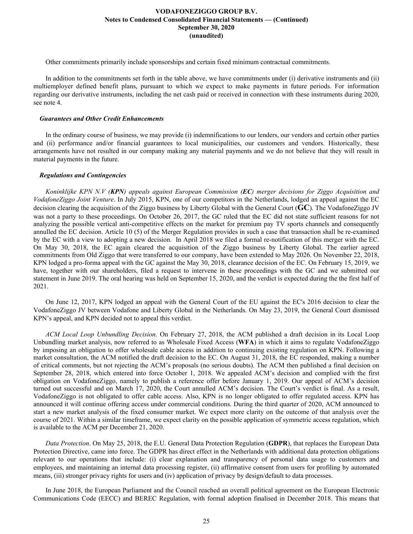Other commitments primarily include sponsorships and certain fixed minimum contractual commitments.

In addition to the commitments set forth in the table above, we have commitments under (i) derivative instruments and (ii) multiemployer defined benefit plans, pursuant to which we expect to make payments in future periods. For information regarding our derivative instruments, including the net cash paid or received in connection with these instruments during 2020, see note 4.

### *Guarantees and Other Credit Enhancements*

In the ordinary course of business, we may provide (i) indemnifications to our lenders, our vendors and certain other parties and (ii) performance and/or financial guarantees to local municipalities, our customers and vendors. Historically, these arrangements have not resulted in our company making any material payments and we do not believe that they will result in material payments in the future.

### *Regulations and Contingencies*

*Koninklijke KPN N.V (KPN) appeals against European Commission (EC) merger decisions for Ziggo Acquisition and VodafoneZiggo Joint Venture*. In July 2015, KPN, one of our competitors in the Netherlands, lodged an appeal against the EC decision clearing the acquisition of the Ziggo business by Liberty Global with the General Court (**GC**). The VodafoneZiggo JV was not a party to these proceedings. On October 26, 2017, the GC ruled that the EC did not state sufficient reasons for not analyzing the possible vertical anti-competitive effects on the market for premium pay TV sports channels and consequently annulled the EC decision. Article 10 (5) of the Merger Regulation provides in such a case that transaction shall be re-examined by the EC with a view to adopting a new decision. In April 2018 we filed a formal re-notification of this merger with the EC. On May 30, 2018, the EC again cleared the acquisition of the Ziggo business by Liberty Global. The earlier agreed commitments from Old Ziggo that were transferred to our company, have been extended to May 2026. On November 22, 2018, KPN lodged a pro-forma appeal with the GC against the May 30, 2018, clearance decision of the EC. On February 15, 2019, we have, together with our shareholders, filed a request to intervene in these proceedings with the GC and we submitted our statement in June 2019. The oral hearing was held on September 15, 2020, and the verdict is expected during the the first half of 2021.

On June 12, 2017, KPN lodged an appeal with the General Court of the EU against the EC's 2016 decision to clear the VodafoneZiggo JV between Vodafone and Liberty Global in the Netherlands. On May 23, 2019, the General Court dismissed KPN's appeal, and KPN decided not to appeal this verdict.

*ACM Local Loop Unbundling Decision.* On February 27, 2018, the ACM published a draft decision in its Local Loop Unbundling market analysis, now referred to as Wholesale Fixed Access (**WFA**) in which it aims to regulate VodafoneZiggo by imposing an obligation to offer wholesale cable access in addition to continuing existing regulation on KPN. Following a market consultation, the ACM notified the draft decision to the EC. On August 31, 2018, the EC responded, making a number of critical comments, but not rejecting the ACM's proposals (no serious doubts). The ACM then published a final decision on September 28, 2018, which entered into force October 1, 2018. We appealed ACM's decision and complied with the first obligation on VodafoneZiggo, namely to publish a reference offer before January 1, 2019. Our appeal of ACM's decision turned out successful and on March 17, 2020, the Court annulled ACM's decision. The Court's verdict is final. As a result, VodafoneZiggo is not obligated to offer cable access. Also, KPN is no longer obligated to offer regulated access. KPN has announced it will continue offering access under commercial conditions. During the third quarter of 2020, ACM announced to start a new market analysis of the fixed consumer market. We expect more clarity on the outcome of that analysis over the course of 2021. Within a similar timeframe, we expect clarity on the possible application of symmetric access regulation, which is available to the ACM per December 21, 2020.

*Data Protection*. On May 25, 2018, the E.U. General Data Protection Regulation (**GDPR**), that replaces the European Data Protection Directive, came into force. The GDPR has direct effect in the Netherlands with additional data protection obligations relevant to our operations that include: (i) clear explanation and transparency of personal data usage to customers and employees, and maintaining an internal data processing register, (ii) affirmative consent from users for profiling by automated means, (iii) stronger privacy rights for users and (iv) application of privacy by design/default to data processes.

In June 2018, the European Parliament and the Council reached an overall political agreement on the European Electronic Communications Code (EECC) and BEREC Regulation, with formal adoption finalised in December 2018. This means that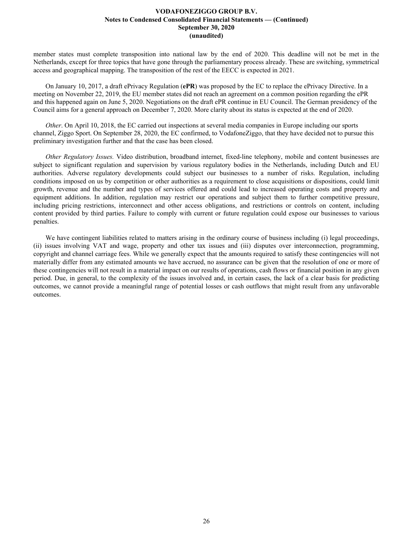member states must complete transposition into national law by the end of 2020. This deadline will not be met in the Netherlands, except for three topics that have gone through the parliamentary process already. These are switching, symmetrical access and geographical mapping. The transposition of the rest of the EECC is expected in 2021.

On January 10, 2017, a draft ePrivacy Regulation (**ePR**) was proposed by the EC to replace the ePrivacy Directive. In a meeting on November 22, 2019, the EU member states did not reach an agreement on a common position regarding the ePR and this happened again on June 5, 2020. Negotiations on the draft ePR continue in EU Council. The German presidency of the Council aims for a general approach on December 7, 2020. More clarity about its status is expected at the end of 2020.

*Other*. On April 10, 2018, the EC carried out inspections at several media companies in Europe including our sports channel, Ziggo Sport. On September 28, 2020, the EC confirmed, to VodafoneZiggo, that they have decided not to pursue this preliminary investigation further and that the case has been closed.

*Other Regulatory Issues.* Video distribution, broadband internet, fixed-line telephony, mobile and content businesses are subject to significant regulation and supervision by various regulatory bodies in the Netherlands, including Dutch and EU authorities. Adverse regulatory developments could subject our businesses to a number of risks. Regulation, including conditions imposed on us by competition or other authorities as a requirement to close acquisitions or dispositions, could limit growth, revenue and the number and types of services offered and could lead to increased operating costs and property and equipment additions. In addition, regulation may restrict our operations and subject them to further competitive pressure, including pricing restrictions, interconnect and other access obligations, and restrictions or controls on content, including content provided by third parties. Failure to comply with current or future regulation could expose our businesses to various penalties.

We have contingent liabilities related to matters arising in the ordinary course of business including (i) legal proceedings, (ii) issues involving VAT and wage, property and other tax issues and (iii) disputes over interconnection, programming, copyright and channel carriage fees. While we generally expect that the amounts required to satisfy these contingencies will not materially differ from any estimated amounts we have accrued, no assurance can be given that the resolution of one or more of these contingencies will not result in a material impact on our results of operations, cash flows or financial position in any given period. Due, in general, to the complexity of the issues involved and, in certain cases, the lack of a clear basis for predicting outcomes, we cannot provide a meaningful range of potential losses or cash outflows that might result from any unfavorable outcomes.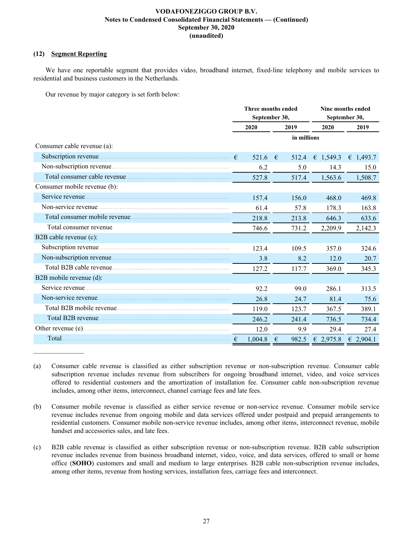# **(12) Segment Reporting**

We have one reportable segment that provides video, broadband internet, fixed-line telephony and mobile services to residential and business customers in the Netherlands.

Our revenue by major category is set forth below:

|                              |            | Three months ended<br>September 30, |            |             |                    | Nine months ended<br>September 30, |  |
|------------------------------|------------|-------------------------------------|------------|-------------|--------------------|------------------------------------|--|
|                              |            | 2020                                |            | 2019        | 2020               | 2019                               |  |
|                              |            |                                     |            | in millions |                    |                                    |  |
| Consumer cable revenue (a):  |            |                                     |            |             |                    |                                    |  |
|                              |            | 521.6                               | $\epsilon$ | 512.4       | € 1,549.3          | € 1,493.7                          |  |
|                              |            | 6.2                                 |            | 5.0         | 14.3               | 15.0                               |  |
|                              |            | 527.8                               |            | 517.4       | 1,563.6            | 1,508.7                            |  |
| Consumer mobile revenue (b): |            |                                     |            |             |                    |                                    |  |
|                              |            | 157.4                               |            | 156.0       | 468.0              | 469.8                              |  |
|                              |            | 61.4                                |            | 57.8        | 178.3              | 163.8                              |  |
|                              |            | 218.8                               |            | 213.8       | 646.3              | 633.6                              |  |
| Total consumer revenue       |            | 746.6                               |            | 731.2       | 2,209.9            | 2,142.3                            |  |
| B2B cable revenue (c):       |            |                                     |            |             |                    |                                    |  |
|                              |            | 123.4                               |            | 109.5       | 357.0              | 324.6                              |  |
|                              |            | 3.8                                 |            | 8.2         | 12.0               | 20.7                               |  |
|                              |            | 127.2                               |            | 117.7       | 369.0              | 345.3                              |  |
| B2B mobile revenue (d):      |            |                                     |            |             |                    |                                    |  |
|                              |            | 92.2                                |            | 99.0        | 286.1              | 313.5                              |  |
|                              |            | 26.8                                |            | 24.7        | 81.4               | 75.6                               |  |
|                              |            | 119.0                               |            | 123.7       | 367.5              | 389.1                              |  |
|                              |            | 246.2                               |            | 241.4       | 736.5              | 734.4                              |  |
| Other revenue (e)            |            | 12.0                                |            | 9.9         | 29.4               | 27.4                               |  |
|                              | $\epsilon$ | 1,004.8                             | €          | 982.5       | $\epsilon$ 2,975.8 | $\epsilon$ 2,904.1                 |  |

(a) Consumer cable revenue is classified as either subscription revenue or non-subscription revenue. Consumer cable subscription revenue includes revenue from subscribers for ongoing broadband internet, video, and voice services offered to residential customers and the amortization of installation fee. Consumer cable non-subscription revenue includes, among other items, interconnect, channel carriage fees and late fees.

(b) Consumer mobile revenue is classified as either service revenue or non-service revenue. Consumer mobile service revenue includes revenue from ongoing mobile and data services offered under postpaid and prepaid arrangements to residential customers. Consumer mobile non-service revenue includes, among other items, interconnect revenue, mobile handset and accessories sales, and late fees.

(c) B2B cable revenue is classified as either subscription revenue or non-subscription revenue. B2B cable subscription revenue includes revenue from business broadband internet, video, voice, and data services, offered to small or home office (**SOHO**) customers and small and medium to large enterprises. B2B cable non-subscription revenue includes, among other items, revenue from hosting services, installation fees, carriage fees and interconnect.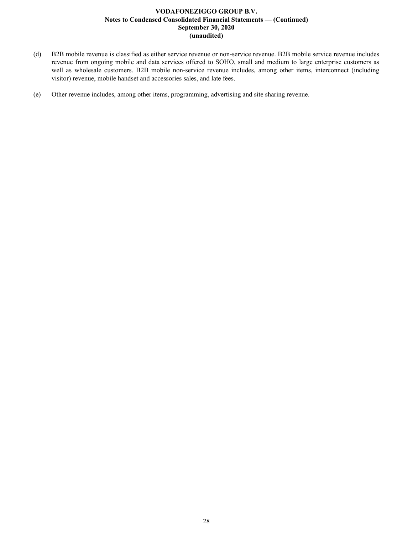- (d) B2B mobile revenue is classified as either service revenue or non-service revenue. B2B mobile service revenue includes revenue from ongoing mobile and data services offered to SOHO, small and medium to large enterprise customers as well as wholesale customers. B2B mobile non-service revenue includes, among other items, interconnect (including visitor) revenue, mobile handset and accessories sales, and late fees.
- (e) Other revenue includes, among other items, programming, advertising and site sharing revenue.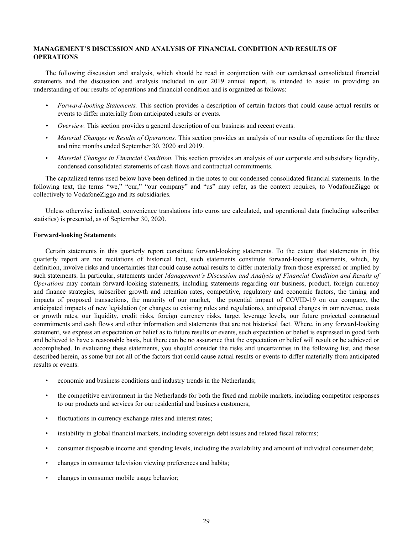# <span id="page-29-0"></span>**MANAGEMENT'S DISCUSSION AND ANALYSIS OF FINANCIAL CONDITION AND RESULTS OF OPERATIONS**

The following discussion and analysis, which should be read in conjunction with our condensed consolidated financial statements and the discussion and analysis included in our 2019 annual report, is intended to assist in providing an understanding of our results of operations and financial condition and is organized as follows:

- *• Forward-looking Statements.* This section provides a description of certain factors that could cause actual results or events to differ materially from anticipated results or events.
- *• Overview.* This section provides a general description of our business and recent events.
- *Material Changes in Results of Operations.* This section provides an analysis of our results of operations for the three and nine months ended September 30, 2020 and 2019.
- *Material Changes in Financial Condition.* This section provides an analysis of our corporate and subsidiary liquidity, condensed consolidated statements of cash flows and contractual commitments.

The capitalized terms used below have been defined in the notes to our condensed consolidated financial statements. In the following text, the terms "we," "our," "our company" and "us" may refer, as the context requires, to VodafoneZiggo or collectively to VodafoneZiggo and its subsidiaries.

Unless otherwise indicated, convenience translations into euros are calculated, and operational data (including subscriber statistics) is presented, as of September 30, 2020.

### **Forward-looking Statements**

Certain statements in this quarterly report constitute forward-looking statements. To the extent that statements in this quarterly report are not recitations of historical fact, such statements constitute forward-looking statements, which, by definition, involve risks and uncertainties that could cause actual results to differ materially from those expressed or implied by such statements. In particular, statements under *Management's Discussion and Analysis of Financial Condition and Results of Operations* may contain forward-looking statements, including statements regarding our business, product, foreign currency and finance strategies, subscriber growth and retention rates, competitive, regulatory and economic factors, the timing and impacts of proposed transactions, the maturity of our market, the potential impact of COVID-19 on our company, the anticipated impacts of new legislation (or changes to existing rules and regulations), anticipated changes in our revenue, costs or growth rates, our liquidity, credit risks, foreign currency risks, target leverage levels, our future projected contractual commitments and cash flows and other information and statements that are not historical fact. Where, in any forward-looking statement, we express an expectation or belief as to future results or events, such expectation or belief is expressed in good faith and believed to have a reasonable basis, but there can be no assurance that the expectation or belief will result or be achieved or accomplished. In evaluating these statements, you should consider the risks and uncertainties in the following list, and those described herein, as some but not all of the factors that could cause actual results or events to differ materially from anticipated results or events:

- economic and business conditions and industry trends in the Netherlands;
- the competitive environment in the Netherlands for both the fixed and mobile markets, including competitor responses to our products and services for our residential and business customers;
- fluctuations in currency exchange rates and interest rates;
- instability in global financial markets, including sovereign debt issues and related fiscal reforms;
- consumer disposable income and spending levels, including the availability and amount of individual consumer debt;
- changes in consumer television viewing preferences and habits;
- changes in consumer mobile usage behavior;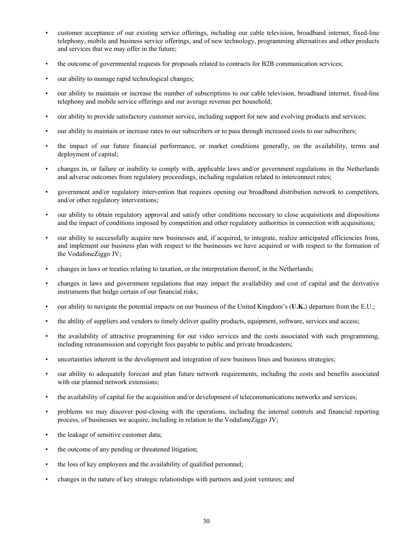- customer acceptance of our existing service offerings, including our cable television, broadband internet, fixed-line telephony, mobile and business service offerings, and of new technology, programming alternatives and other products and services that we may offer in the future;
- the outcome of governmental requests for proposals related to contracts for B2B communication services;
- our ability to manage rapid technological changes;
- our ability to maintain or increase the number of subscriptions to our cable television, broadband internet, fixed-line telephony and mobile service offerings and our average revenue per household;
- our ability to provide satisfactory customer service, including support for new and evolving products and services;
- our ability to maintain or increase rates to our subscribers or to pass through increased costs to our subscribers;
- the impact of our future financial performance, or market conditions generally, on the availability, terms and deployment of capital;
- changes in, or failure or inability to comply with, applicable laws and/or government regulations in the Netherlands and adverse outcomes from regulatory proceedings, including regulation related to interconnect rates;
- government and/or regulatory intervention that requires opening our broadband distribution network to competitors, and/or other regulatory interventions;
- our ability to obtain regulatory approval and satisfy other conditions necessary to close acquisitions and dispositions and the impact of conditions imposed by competition and other regulatory authorities in connection with acquisitions;
- our ability to successfully acquire new businesses and, if acquired, to integrate, realize anticipated efficiencies from, and implement our business plan with respect to the businesses we have acquired or with respect to the formation of the VodafoneZiggo JV;
- changes in laws or treaties relating to taxation, or the interpretation thereof, in the Netherlands;
- changes in laws and government regulations that may impact the availability and cost of capital and the derivative instruments that hedge certain of our financial risks;
- our ability to navigate the potential impacts on our business of the United Kingdom's (**U.K.**) departure from the E.U.;
- the ability of suppliers and vendors to timely deliver quality products, equipment, software, services and access;
- the availability of attractive programming for our video services and the costs associated with such programming, including retransmission and copyright fees payable to public and private broadcasters;
- uncertainties inherent in the development and integration of new business lines and business strategies;
- our ability to adequately forecast and plan future network requirements, including the costs and benefits associated with our planned network extensions;
- the availability of capital for the acquisition and/or development of telecommunications networks and services;
- problems we may discover post-closing with the operations, including the internal controls and financial reporting process, of businesses we acquire, including in relation to the VodafoneZiggo JV;
- the leakage of sensitive customer data;
- the outcome of any pending or threatened litigation;
- the loss of key employees and the availability of qualified personnel;
- changes in the nature of key strategic relationships with partners and joint ventures; and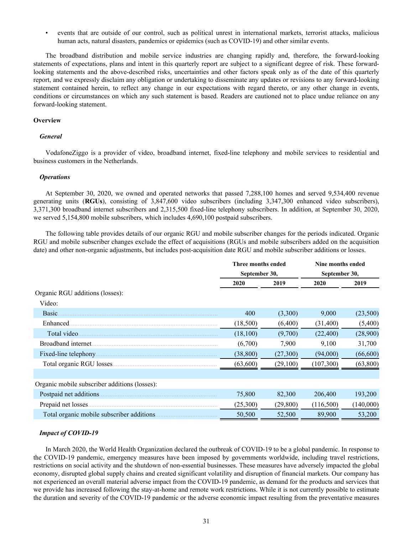• events that are outside of our control, such as political unrest in international markets, terrorist attacks, malicious human acts, natural disasters, pandemics or epidemics (such as COVID-19) and other similar events.

The broadband distribution and mobile service industries are changing rapidly and, therefore, the forward-looking statements of expectations, plans and intent in this quarterly report are subject to a significant degree of risk. These forwardlooking statements and the above-described risks, uncertainties and other factors speak only as of the date of this quarterly report, and we expressly disclaim any obligation or undertaking to disseminate any updates or revisions to any forward-looking statement contained herein, to reflect any change in our expectations with regard thereto, or any other change in events, conditions or circumstances on which any such statement is based. Readers are cautioned not to place undue reliance on any forward-looking statement.

### **Overview**

### *General*

VodafoneZiggo is a provider of video, broadband internet, fixed-line telephony and mobile services to residential and business customers in the Netherlands.

### *Operations*

At September 30, 2020, we owned and operated networks that passed 7,288,100 homes and served 9,534,400 revenue generating units (**RGUs**), consisting of 3,847,600 video subscribers (including 3,347,300 enhanced video subscribers), 3,371,300 broadband internet subscribers and 2,315,500 fixed-line telephony subscribers. In addition, at September 30, 2020, we served 5,154,800 mobile subscribers, which includes 4,690,100 postpaid subscribers.

The following table provides details of our organic RGU and mobile subscriber changes for the periods indicated. Organic RGU and mobile subscriber changes exclude the effect of acquisitions (RGUs and mobile subscribers added on the acquisition date) and other non-organic adjustments, but includes post-acquisition date RGU and mobile subscriber additions or losses.

|                                               | Three months ended<br>September 30, |           | Nine months ended<br>September 30, |           |
|-----------------------------------------------|-------------------------------------|-----------|------------------------------------|-----------|
|                                               | 2020                                | 2019      | 2020                               | 2019      |
| Organic RGU additions (losses):               |                                     |           |                                    |           |
| Video:                                        |                                     |           |                                    |           |
| Basic.                                        | 400                                 | (3,300)   | 9,000                              | (23,500)  |
| Enhanced.                                     | (18,500)                            | (6,400)   | (31,400)                           | (5,400)   |
| Total video.                                  | (18,100)                            | (9,700)   | (22,400)                           | (28,900)  |
| Broadband internet.                           | (6,700)                             | 7,900     | 9,100                              | 31,700    |
| Fixed-line telephony.                         | (38, 800)                           | (27,300)  | (94,000)                           | (66, 600) |
|                                               | (63,600)                            | (29,100)  | (107, 300)                         | (63,800)  |
|                                               |                                     |           |                                    |           |
| Organic mobile subscriber additions (losses): |                                     |           |                                    |           |
|                                               | 75,800                              | 82,300    | 206,400                            | 193,200   |
| Prepaid net losses.                           | (25,300)                            | (29, 800) | (116,500)                          | (140,000) |
| Total organic mobile subscriber additions.    | 50,500                              | 52,500    | 89,900                             | 53,200    |

### *Impact of COVID-19*

In March 2020, the World Health Organization declared the outbreak of COVID-19 to be a global pandemic. In response to the COVID-19 pandemic, emergency measures have been imposed by governments worldwide, including travel restrictions, restrictions on social activity and the shutdown of non-essential businesses. These measures have adversely impacted the global economy, disrupted global supply chains and created significant volatility and disruption of financial markets. Our company has not experienced an overall material adverse impact from the COVID-19 pandemic, as demand for the products and services that we provide has increased following the stay-at-home and remote work restrictions. While it is not currently possible to estimate the duration and severity of the COVID-19 pandemic or the adverse economic impact resulting from the preventative measures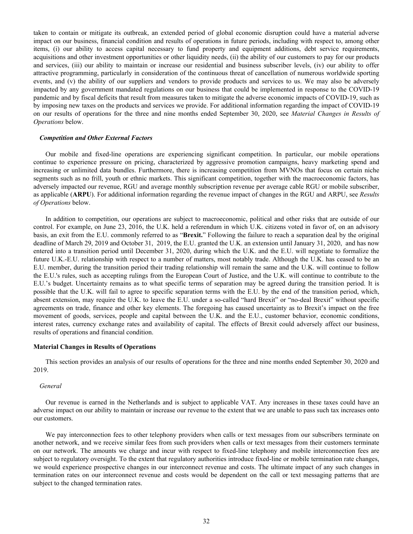taken to contain or mitigate its outbreak, an extended period of global economic disruption could have a material adverse impact on our business, financial condition and results of operations in future periods, including with respect to, among other items, (i) our ability to access capital necessary to fund property and equipment additions, debt service requirements, acquisitions and other investment opportunities or other liquidity needs, (ii) the ability of our customers to pay for our products and services, (iii) our ability to maintain or increase our residential and business subscriber levels, (iv) our ability to offer attractive programming, particularly in consideration of the continuous threat of cancellation of numerous worldwide sporting events, and (v) the ability of our suppliers and vendors to provide products and services to us. We may also be adversely impacted by any government mandated regulations on our business that could be implemented in response to the COVID-19 pandemic and by fiscal deficits that result from measures taken to mitigate the adverse economic impacts of COVID-19, such as by imposing new taxes on the products and services we provide. For additional information regarding the impact of COVID-19 on our results of operations for the three and nine months ended September 30, 2020, see *Material Changes in Results of Operations* below.

### *Competition and Other External Factors*

Our mobile and fixed-line operations are experiencing significant competition. In particular, our mobile operations continue to experience pressure on pricing, characterized by aggressive promotion campaigns, heavy marketing spend and increasing or unlimited data bundles. Furthermore, there is increasing competition from MVNOs that focus on certain niche segments such as no frill, youth or ethnic markets. This significant competition, together with the macroeconomic factors, has adversely impacted our revenue, RGU and average monthly subscription revenue per average cable RGU or mobile subscriber, as applicable (**ARPU**). For additional information regarding the revenue impact of changes in the RGU and ARPU, see *Results of Operations* below.

 In addition to competition, our operations are subject to macroeconomic, political and other risks that are outside of our control. For example, on June 23, 2016, the U.K. held a referendum in which U.K. citizens voted in favor of, on an advisory basis, an exit from the E.U. commonly referred to as "**Brexit.**" Following the failure to reach a separation deal by the original deadline of March 29, 2019 and October 31, 2019, the E.U. granted the U.K. an extension until January 31, 2020, and has now entered into a transition period until December 31, 2020, during which the U.K. and the E.U. will negotiate to formalize the future U.K.-E.U. relationship with respect to a number of matters, most notably trade. Although the U.K. has ceased to be an E.U. member, during the transition period their trading relationship will remain the same and the U.K. will continue to follow the E.U.'s rules, such as accepting rulings from the European Court of Justice, and the U.K. will continue to contribute to the E.U.'s budget. Uncertainty remains as to what specific terms of separation may be agreed during the transition period. It is possible that the U.K. will fail to agree to specific separation terms with the E.U. by the end of the transition period, which, absent extension, may require the U.K. to leave the E.U. under a so-called "hard Brexit" or "no-deal Brexit" without specific agreements on trade, finance and other key elements. The foregoing has caused uncertainty as to Brexit's impact on the free movement of goods, services, people and capital between the U.K. and the E.U., customer behavior, economic conditions, interest rates, currency exchange rates and availability of capital. The effects of Brexit could adversely affect our business, results of operations and financial condition.

### **Material Changes in Results of Operations**

This section provides an analysis of our results of operations for the three and nine months ended September 30, 2020 and 2019.

### *General*

Our revenue is earned in the Netherlands and is subject to applicable VAT. Any increases in these taxes could have an adverse impact on our ability to maintain or increase our revenue to the extent that we are unable to pass such tax increases onto our customers.

We pay interconnection fees to other telephony providers when calls or text messages from our subscribers terminate on another network, and we receive similar fees from such providers when calls or text messages from their customers terminate on our network. The amounts we charge and incur with respect to fixed-line telephony and mobile interconnection fees are subject to regulatory oversight. To the extent that regulatory authorities introduce fixed-line or mobile termination rate changes, we would experience prospective changes in our interconnect revenue and costs. The ultimate impact of any such changes in termination rates on our interconnect revenue and costs would be dependent on the call or text messaging patterns that are subject to the changed termination rates.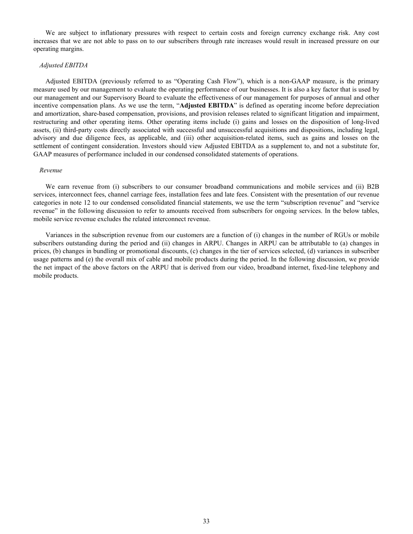We are subject to inflationary pressures with respect to certain costs and foreign currency exchange risk. Any cost increases that we are not able to pass on to our subscribers through rate increases would result in increased pressure on our operating margins.

### *Adjusted EBITDA*

Adjusted EBITDA (previously referred to as "Operating Cash Flow"), which is a non-GAAP measure, is the primary measure used by our management to evaluate the operating performance of our businesses. It is also a key factor that is used by our management and our Supervisory Board to evaluate the effectiveness of our management for purposes of annual and other incentive compensation plans. As we use the term, "**Adjusted EBITDA**" is defined as operating income before depreciation and amortization, share-based compensation, provisions, and provision releases related to significant litigation and impairment, restructuring and other operating items. Other operating items include (i) gains and losses on the disposition of long-lived assets, (ii) third-party costs directly associated with successful and unsuccessful acquisitions and dispositions, including legal, advisory and due diligence fees, as applicable, and (iii) other acquisition-related items, such as gains and losses on the settlement of contingent consideration. Investors should view Adjusted EBITDA as a supplement to, and not a substitute for, GAAP measures of performance included in our condensed consolidated statements of operations.

### *Revenue*

We earn revenue from (i) subscribers to our consumer broadband communications and mobile services and (ii) B2B services, interconnect fees, channel carriage fees, installation fees and late fees. Consistent with the presentation of our revenue categories in note 12 to our condensed consolidated financial statements, we use the term "subscription revenue" and "service revenue" in the following discussion to refer to amounts received from subscribers for ongoing services. In the below tables, mobile service revenue excludes the related interconnect revenue.

Variances in the subscription revenue from our customers are a function of (i) changes in the number of RGUs or mobile subscribers outstanding during the period and (ii) changes in ARPU. Changes in ARPU can be attributable to (a) changes in prices, (b) changes in bundling or promotional discounts, (c) changes in the tier of services selected, (d) variances in subscriber usage patterns and (e) the overall mix of cable and mobile products during the period. In the following discussion, we provide the net impact of the above factors on the ARPU that is derived from our video, broadband internet, fixed-line telephony and mobile products.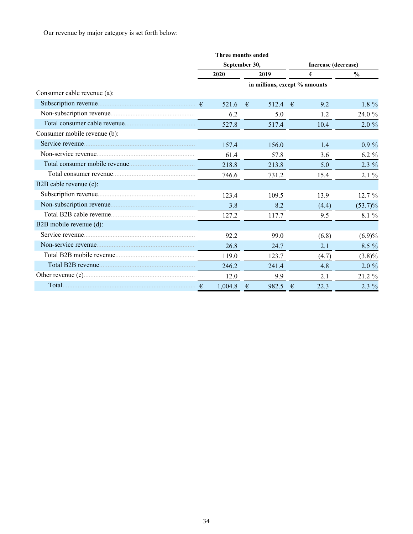Our revenue by major category is set forth below:

|                              | <b>Three months ended</b> |   |                               |            |                     |               |  |  |
|------------------------------|---------------------------|---|-------------------------------|------------|---------------------|---------------|--|--|
|                              | September 30,             |   |                               |            | Increase (decrease) |               |  |  |
|                              | 2020                      |   | 2019                          |            | €                   | $\frac{0}{0}$ |  |  |
|                              |                           |   | in millions, except % amounts |            |                     |               |  |  |
| Consumer cable revenue (a):  |                           |   |                               |            |                     |               |  |  |
|                              | 521.6                     | € | 512.4 $\in$                   |            | 9.2                 | $1.8 \%$      |  |  |
|                              | 6.2                       |   | 5.0                           |            | 1.2                 | 24.0 %        |  |  |
|                              | 527.8                     |   | 517.4                         |            | 10.4                | $2.0 \%$      |  |  |
| Consumer mobile revenue (b): |                           |   |                               |            |                     |               |  |  |
|                              | 157.4                     |   | 156.0                         |            | 1.4                 | $0.9 \%$      |  |  |
|                              | 61.4                      |   | 57.8                          |            | 3.6                 | $6.2 \%$      |  |  |
|                              | 218.8                     |   | 213.8                         |            | 5.0                 | $2.3\%$       |  |  |
|                              | 746.6                     |   | 731.2                         |            | 15.4                | $2.1\%$       |  |  |
| B2B cable revenue (c):       |                           |   |                               |            |                     |               |  |  |
|                              | 123.4                     |   | 109.5                         |            | 13.9                | 12.7%         |  |  |
|                              | 3.8                       |   | 8.2                           |            | (4.4)               | $(53.7)\%$    |  |  |
| Total B2B cable revenue      | 127.2                     |   | 117.7                         |            | 9.5                 | 8.1 %         |  |  |
| B2B mobile revenue (d):      |                           |   |                               |            |                     |               |  |  |
|                              | 92.2                      |   | 99.0                          |            | (6.8)               | (6.9)%        |  |  |
|                              | 26.8                      |   | 24.7                          |            | 2.1                 | 8.5 %         |  |  |
|                              | 119.0                     |   | 123.7                         |            | (4.7)               | $(3.8)\%$     |  |  |
|                              | 246.2                     |   | 241.4                         |            | 4.8                 | $2.0 \%$      |  |  |
|                              | 12.0                      |   | 9.9                           |            | 2.1                 | $21.2 \%$     |  |  |
| Total $\epsilon$             | 1,004.8                   | € | 982.5                         | $\epsilon$ | 22.3                | $2.3\%$       |  |  |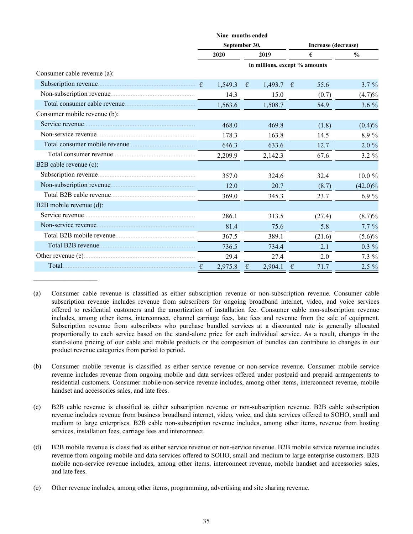|                              |            | Nine months ended |      |                               |            |                     |               |  |
|------------------------------|------------|-------------------|------|-------------------------------|------------|---------------------|---------------|--|
|                              |            | September 30,     |      |                               |            | Increase (decrease) |               |  |
|                              |            | 2020              | 2019 |                               |            | €                   | $\frac{0}{0}$ |  |
|                              |            |                   |      | in millions, except % amounts |            |                     |               |  |
| Consumer cable revenue (a):  |            |                   |      |                               |            |                     |               |  |
|                              |            | 1,549.3           | €    | $1,493.7$ €                   |            | 55.6                | $3.7 \%$      |  |
|                              |            | 14.3              |      | 15.0                          |            | (0.7)               | (4.7)%        |  |
|                              |            | 1,563.6           |      | 1,508.7                       |            | 54.9                | $3.6\%$       |  |
| Consumer mobile revenue (b): |            |                   |      |                               |            |                     |               |  |
|                              |            | 468.0             |      | 469.8                         |            | (1.8)               | $(0.4)\%$     |  |
|                              |            | 178.3             |      | 163.8                         |            | 14.5                | 8.9%          |  |
|                              |            | 646.3             |      | 633.6                         |            | 12.7                | 2.0%          |  |
|                              |            | 2,209.9           |      | 2,142.3                       |            | 67.6                | $3.2 \%$      |  |
| B2B cable revenue (c):       |            |                   |      |                               |            |                     |               |  |
|                              |            | 357.0             |      | 324.6                         |            | 32.4                | 10.0%         |  |
| Non-subscription revenue     |            | 12.0              |      | 20.7                          |            | (8.7)               | $(42.0)\%$    |  |
|                              |            | 369.0             |      | 345.3                         |            | 23.7                | 6.9%          |  |
| B2B mobile revenue (d):      |            |                   |      |                               |            |                     |               |  |
|                              |            | 286.1             |      | 313.5                         |            | (27.4)              | $(8.7)\%$     |  |
|                              |            | 81.4              |      | 75.6                          |            | 5.8                 | $7.7\%$       |  |
|                              |            | 367.5             |      | 389.1                         |            | (21.6)              | $(5.6)\%$     |  |
|                              |            | 736.5             |      | 734.4                         |            | 2.1                 | $0.3\%$       |  |
|                              |            | 29.4              |      | 27.4                          |            | 2.0                 | $7.3\%$       |  |
|                              | $\epsilon$ | 2,975.8           | €    | 2,904.1                       | $\epsilon$ | 71.7                | $2.5\%$       |  |

<sup>(</sup>a) Consumer cable revenue is classified as either subscription revenue or non-subscription revenue. Consumer cable subscription revenue includes revenue from subscribers for ongoing broadband internet, video, and voice services offered to residential customers and the amortization of installation fee. Consumer cable non-subscription revenue includes, among other items, interconnect, channel carriage fees, late fees and revenue from the sale of equipment. Subscription revenue from subscribers who purchase bundled services at a discounted rate is generally allocated proportionally to each service based on the stand-alone price for each individual service. As a result, changes in the stand-alone pricing of our cable and mobile products or the composition of bundles can contribute to changes in our product revenue categories from period to period.

- (b) Consumer mobile revenue is classified as either service revenue or non-service revenue. Consumer mobile service revenue includes revenue from ongoing mobile and data services offered under postpaid and prepaid arrangements to residential customers. Consumer mobile non-service revenue includes, among other items, interconnect revenue, mobile handset and accessories sales, and late fees.
- (c) B2B cable revenue is classified as either subscription revenue or non-subscription revenue. B2B cable subscription revenue includes revenue from business broadband internet, video, voice, and data services offered to SOHO, small and medium to large enterprises. B2B cable non-subscription revenue includes, among other items, revenue from hosting services, installation fees, carriage fees and interconnect.
- (d) B2B mobile revenue is classified as either service revenue or non-service revenue. B2B mobile service revenue includes revenue from ongoing mobile and data services offered to SOHO, small and medium to large enterprise customers. B2B mobile non-service revenue includes, among other items, interconnect revenue, mobile handset and accessories sales, and late fees.
- (e) Other revenue includes, among other items, programming, advertising and site sharing revenue.

 $\mathcal{L}_\text{max}$  , where  $\mathcal{L}_\text{max}$  and  $\mathcal{L}_\text{max}$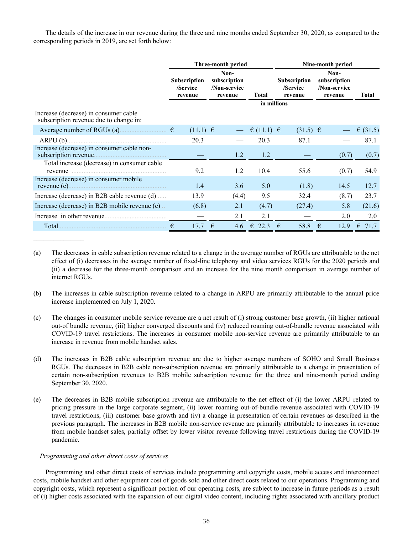The details of the increase in our revenue during the three and nine months ended September 30, 2020, as compared to the corresponding periods in 2019, are set forth below:

|                                                                                 |                                            | Three-month period                              |                    | Nine-month period                          |                                                 |              |  |  |  |  |
|---------------------------------------------------------------------------------|--------------------------------------------|-------------------------------------------------|--------------------|--------------------------------------------|-------------------------------------------------|--------------|--|--|--|--|
|                                                                                 | <b>Subscription</b><br>/Service<br>revenue | Non-<br>subscription<br>/Non-service<br>revenue | <b>Total</b>       | <b>Subscription</b><br>/Service<br>revenue | Non-<br>subscription<br>/Non-service<br>revenue | <b>Total</b> |  |  |  |  |
| Increase (decrease) in consumer cable<br>subscription revenue due to change in: |                                            |                                                 | in millions        |                                            |                                                 |              |  |  |  |  |
| Average number of RGUs (a) $\epsilon$                                           | $(11.1) \in$                               |                                                 | $\in$ (11.1) $\in$ | $(31.5) \in$                               |                                                 | € $(31.5)$   |  |  |  |  |
|                                                                                 | 20.3                                       |                                                 | 20.3               | 87.1                                       |                                                 | 87.1         |  |  |  |  |
| Increase (decrease) in consumer cable non-                                      |                                            | 1.2                                             | 1.2                |                                            | (0.7)                                           | (0.7)        |  |  |  |  |
| Total increase (decrease) in consumer cable<br>revenue                          | 9.2                                        | 1.2                                             | 10.4               | 55.6                                       | (0.7)                                           | 54.9         |  |  |  |  |
| Increase (decrease) in consumer mobile                                          | 1.4                                        | 3.6                                             | 5.0                | (1.8)                                      | 14.5                                            | 12.7         |  |  |  |  |
| Increase (decrease) in B2B cable revenue (d)                                    | 13.9                                       | (4.4)                                           | 9.5                | 32.4                                       | (8.7)                                           | 23.7         |  |  |  |  |
| Increase (decrease) in B2B mobile revenue (e).                                  | (6.8)                                      | 2.1                                             | (4.7)              | (27.4)                                     | 5.8                                             | (21.6)       |  |  |  |  |
|                                                                                 |                                            | 2.1                                             | 2.1                |                                            | 2.0                                             | 2.0          |  |  |  |  |
| Total.                                                                          | 17.7<br>€                                  | 4.6<br>€                                        | $\epsilon$ 22.3    | 58.8<br>€                                  | 12.9<br>€                                       | 71.7<br>€    |  |  |  |  |

- (a) The decreases in cable subscription revenue related to a change in the average number of RGUs are attributable to the net effect of (i) decreases in the average number of fixed-line telephony and video services RGUs for the 2020 periods and (ii) a decrease for the three-month comparison and an increase for the nine month comparison in average number of internet RGUs.
- (b) The increases in cable subscription revenue related to a change in ARPU are primarily attributable to the annual price increase implemented on July 1, 2020.
- (c) The changes in consumer mobile service revenue are a net result of (i) strong customer base growth, (ii) higher national out-of bundle revenue, (iii) higher converged discounts and (iv) reduced roaming out-of-bundle revenue associated with COVID-19 travel restrictions. The increases in consumer mobile non-service revenue are primarily attributable to an increase in revenue from mobile handset sales.
- (d) The increases in B2B cable subscription revenue are due to higher average numbers of SOHO and Small Business RGUs. The decreases in B2B cable non-subscription revenue are primarily attributable to a change in presentation of certain non-subscription revenues to B2B mobile subscription revenue for the three and nine-month period ending September 30, 2020.
- (e) The decreases in B2B mobile subscription revenue are attributable to the net effect of (i) the lower ARPU related to pricing pressure in the large corporate segment, (ii) lower roaming out-of-bundle revenue associated with COVID-19 travel restrictions, (iii) customer base growth and (iv) a change in presentation of certain revenues as described in the previous paragraph. The increases in B2B mobile non-service revenue are primarily attributable to increases in revenue from mobile handset sales, partially offset by lower visitor revenue following travel restrictions during the COVID-19 pandemic.

### *Programming and other direct costs of services*

Programming and other direct costs of services include programming and copyright costs, mobile access and interconnect costs, mobile handset and other equipment cost of goods sold and other direct costs related to our operations. Programming and copyright costs, which represent a significant portion of our operating costs, are subject to increase in future periods as a result of (i) higher costs associated with the expansion of our digital video content, including rights associated with ancillary product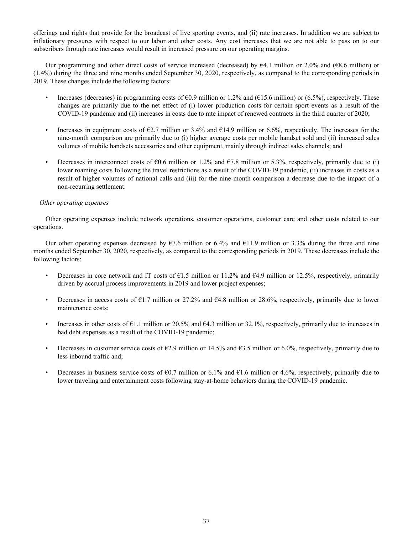offerings and rights that provide for the broadcast of live sporting events, and (ii) rate increases. In addition we are subject to inflationary pressures with respect to our labor and other costs. Any cost increases that we are not able to pass on to our subscribers through rate increases would result in increased pressure on our operating margins.

Our programming and other direct costs of service increased (decreased) by €4.1 million or 2.0% and (€8.6 million) or (1.4%) during the three and nine months ended September 30, 2020, respectively, as compared to the corresponding periods in 2019. These changes include the following factors:

- Increases (decreases) in programming costs of  $60.9$  million or 1.2% and ( $615.6$  million) or (6.5%), respectively. These changes are primarily due to the net effect of (i) lower production costs for certain sport events as a result of the COVID-19 pandemic and (ii) increases in costs due to rate impact of renewed contracts in the third quarter of 2020;
- Increases in equipment costs of  $\epsilon$ 2.7 million or 3.4% and  $\epsilon$ 14.9 million or 6.6%, respectively. The increases for the nine-month comparison are primarily due to (i) higher average costs per mobile handset sold and (ii) increased sales volumes of mobile handsets accessories and other equipment, mainly through indirect sales channels; and
- Decreases in interconnect costs of  $\epsilon 0.6$  million or 1.2% and  $\epsilon 7.8$  million or 5.3%, respectively, primarily due to (i) lower roaming costs following the travel restrictions as a result of the COVID-19 pandemic, (ii) increases in costs as a result of higher volumes of national calls and (iii) for the nine-month comparison a decrease due to the impact of a non-recurring settlement.

# *Other operating expenses*

Other operating expenses include network operations, customer operations, customer care and other costs related to our operations.

Our other operating expenses decreased by  $\epsilon$ 7.6 million or 6.4% and  $\epsilon$ 11.9 million or 3.3% during the three and nine months ended September 30, 2020, respectively, as compared to the corresponding periods in 2019. These decreases include the following factors:

- Decreases in core network and IT costs of  $\epsilon$ 1.5 million or 11.2% and  $\epsilon$ 4.9 million or 12.5%, respectively, primarily driven by accrual process improvements in 2019 and lower project expenses;
- Decreases in access costs of  $\epsilon$ 1.7 million or 27.2% and  $\epsilon$ 4.8 million or 28.6%, respectively, primarily due to lower maintenance costs;
- Increases in other costs of  $\epsilon$ 1.1 million or 20.5% and  $\epsilon$ 4.3 million or 32.1%, respectively, primarily due to increases in bad debt expenses as a result of the COVID-19 pandemic;
- Decreases in customer service costs of  $E2.9$  million or 14.5% and  $E3.5$  million or 6.0%, respectively, primarily due to less inbound traffic and;
- Decreases in business service costs of  $60.7$  million or 6.1% and  $61.6$  million or 4.6%, respectively, primarily due to lower traveling and entertainment costs following stay-at-home behaviors during the COVID-19 pandemic.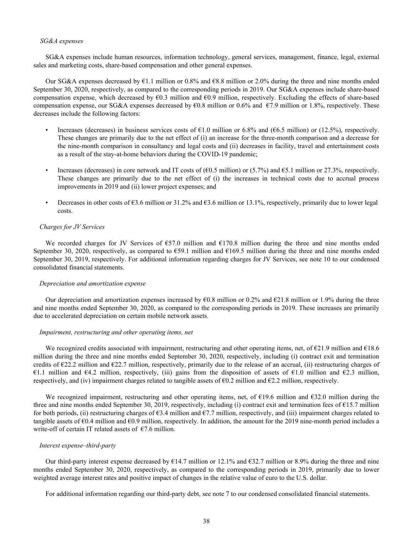### *SG&A expenses*

SG&A expenses include human resources, information technology, general services, management, finance, legal, external sales and marketing costs, share-based compensation and other general expenses.

Our SG&A expenses decreased by €1.1 million or 0.8% and €8.8 million or 2.0% during the three and nine months ended September 30, 2020, respectively, as compared to the corresponding periods in 2019. Our SG&A expenses include share-based compensation expense, which decreased by  $\epsilon$ 0.3 million and  $\epsilon$ 0.9 million, respectively. Excluding the effects of share-based compensation expense, our SG&A expenses decreased by  $60.8$  million or 0.6% and  $67.9$  million or 1.8%, respectively. These decreases include the following factors:

- Increases (decreases) in business services costs of  $\epsilon$ 1.0 million or 6.8% and ( $\epsilon$ 6.5 million) or (12.5%), respectively. These changes are primarily due to the net effect of (i) an increase for the three-month comparison and a decrease for the nine-month comparison in consultancy and legal costs and (ii) decreases in facility, travel and entertainment costs as a result of the stay-at-home behaviors during the COVID-19 pandemic;
- Increases (decreases) in core network and IT costs of ( $60.5$  million) or (5.7%) and  $65.1$  million or 27.3%, respectively. These changes are primarily due to the net effect of (i) the increases in technical costs due to accrual process improvements in 2019 and (ii) lower project expenses; and
- Decreases in other costs of  $63.6$  million or  $31.2\%$  and  $63.6$  million or 13.1%, respectively, primarily due to lower legal costs.

### *Charges for JV Services*

We recorded charges for JV Services of  $\epsilon$ 57.0 million and  $\epsilon$ 170.8 million during the three and nine months ended September 30, 2020, respectively, as compared to  $\epsilon$ 59.1 million and  $\epsilon$ 169.5 million during the three and nine months ended September 30, 2019, respectively. For additional information regarding charges for JV Services, see note 10 to our condensed consolidated financial statements.

### *Depreciation and amortization expense*

Our depreciation and amortization expenses increased by  $\epsilon$ 0.8 million or 0.2% and  $\epsilon$ 21.8 million or 1.9% during the three and nine months ended September 30, 2020, as compared to the corresponding periods in 2019. These increases are primarily due to accelerated depreciation on certain mobile network assets.

### *Impairment, restructuring and other operating items, net*

We recognized credits associated with impairment, restructuring and other operating items, net, of  $\epsilon$ 21.9 million and  $\epsilon$ 18.6 million during the three and nine months ended September 30, 2020, respectively, including (i) contract exit and termination credits of  $\epsilon$ 22.2 million and  $\epsilon$ 22.7 million, respectively, primarily due to the release of an accrual, (ii) restructuring charges of €1.1 million and €4.2 million, respectively, (iii) gains from the disposition of assets of €1.0 million and €2.3 million, respectively, and (iv) impairment charges related to tangible assets of  $\epsilon$ 0.2 million and  $\epsilon$ 2.2 million, respectively.

We recognized impairment, restructuring and other operating items, net, of  $\epsilon$ 19.6 million and  $\epsilon$ 32.0 million during the three and nine months ended September 30, 2019, respectively, including (i) contract exit and termination fees of  $\epsilon$ 15.7 million for both periods, (ii) restructuring charges of  $63.4$  million and  $67.7$  million, respectively, and (iii) impairment charges related to tangible assets of  $\epsilon$ 0.4 million and  $\epsilon$ 0.9 million, respectively. In addition, the amount for the 2019 nine-month period includes a write-off of certain IT related assets of  $\epsilon$ 7.6 million.

### *Interest expense–third-party*

Our third-party interest expense decreased by  $\epsilon$ 14.7 million or 12.1% and  $\epsilon$ 32.7 million or 8.9% during the three and nine months ended September 30, 2020, respectively, as compared to the corresponding periods in 2019, primarily due to lower weighted average interest rates and positive impact of changes in the relative value of euro to the U.S. dollar.

For additional information regarding our third-party debt, see note 7 to our condensed consolidated financial statements.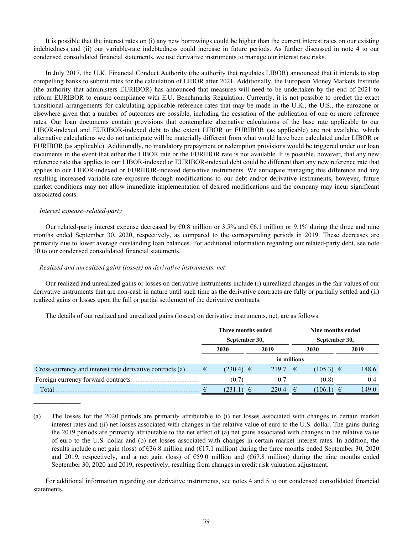It is possible that the interest rates on (i) any new borrowings could be higher than the current interest rates on our existing indebtedness and (ii) our variable-rate indebtedness could increase in future periods. As further discussed in note 4 to our condensed consolidated financial statements, we use derivative instruments to manage our interest rate risks.

In July 2017, the U.K. Financial Conduct Authority (the authority that regulates LIBOR) announced that it intends to stop compelling banks to submit rates for the calculation of LIBOR after 2021. Additionally, the European Money Markets Institute (the authority that administers EURIBOR) has announced that measures will need to be undertaken by the end of 2021 to reform EURIBOR to ensure compliance with E.U. Benchmarks Regulation. Currently, it is not possible to predict the exact transitional arrangements for calculating applicable reference rates that may be made in the U.K., the U.S., the eurozone or elsewhere given that a number of outcomes are possible, including the cessation of the publication of one or more reference rates. Our loan documents contain provisions that contemplate alternative calculations of the base rate applicable to our LIBOR-indexed and EURIBOR-indexed debt to the extent LIBOR or EURIBOR (as applicable) are not available, which alternative calculations we do not anticipate will be materially different from what would have been calculated under LIBOR or EURIBOR (as applicable). Additionally, no mandatory prepayment or redemption provisions would be triggered under our loan documents in the event that either the LIBOR rate or the EURIBOR rate is not available. It is possible, however, that any new reference rate that applies to our LIBOR-indexed or EURIBOR-indexed debt could be different than any new reference rate that applies to our LIBOR-indexed or EURIBOR-indexed derivative instruments. We anticipate managing this difference and any resulting increased variable-rate exposure through modifications to our debt and/or derivative instruments, however, future market conditions may not allow immediate implementation of desired modifications and the company may incur significant associated costs.

### *Interest expense–related-party*

Our related-party interest expense decreased by  $60.8$  million or 3.5% and  $66.1$  million or 9.1% during the three and nine months ended September 30, 2020, respectively, as compared to the corresponding periods in 2019. These decreases are primarily due to lower average outstanding loan balances. For additional information regarding our related-party debt, see note 10 to our condensed consolidated financial statements.

### *Realized and unrealized gains (losses) on derivative instruments, net*

Our realized and unrealized gains or losses on derivative instruments include (i) unrealized changes in the fair values of our derivative instruments that are non-cash in nature until such time as the derivative contracts are fully or partially settled and (ii) realized gains or losses upon the full or partial settlement of the derivative contracts.

The details of our realized and unrealized gains (losses) on derivative instruments, net, are as follows:

|                                                                      | Three months ended |  |             |   | Nine months ended |  |       |
|----------------------------------------------------------------------|--------------------|--|-------------|---|-------------------|--|-------|
|                                                                      | September 30,      |  |             |   | September 30,     |  |       |
|                                                                      | 2020               |  | 2019        |   | 2020              |  | 2019  |
|                                                                      |                    |  | in millions |   |                   |  |       |
| Cross-currency and interest rate derivative contracts (a) $\epsilon$ | $(230.4) \in$      |  | 219.7 €     |   | $(105.3) \in$     |  | 148.6 |
| Foreign currency forward contracts                                   | (0.7)              |  | 0.7         |   | (0.8)             |  | 0.4   |
| Total                                                                | (231.1)            |  | 220.4       | € | (106.1)           |  | 149.0 |

<sup>(</sup>a) The losses for the 2020 periods are primarily attributable to (i) net losses associated with changes in certain market interest rates and (ii) net losses associated with changes in the relative value of euro to the U.S. dollar. The gains during the 2019 periods are primarily attributable to the net effect of (a) net gains associated with changes in the relative value of euro to the U.S. dollar and (b) net losses associated with changes in certain market interest rates. In addition, the results include a net gain (loss) of €36.8 million and (€17.1 million) during the three months ended September 30, 2020 and 2019, respectively, and a net gain (loss) of  $\epsilon$ 59.0 million and ( $\epsilon$ 67.8 million) during the nine months ended September 30, 2020 and 2019, respectively, resulting from changes in credit risk valuation adjustment.

For additional information regarding our derivative instruments, see notes 4 and 5 to our condensed consolidated financial statements.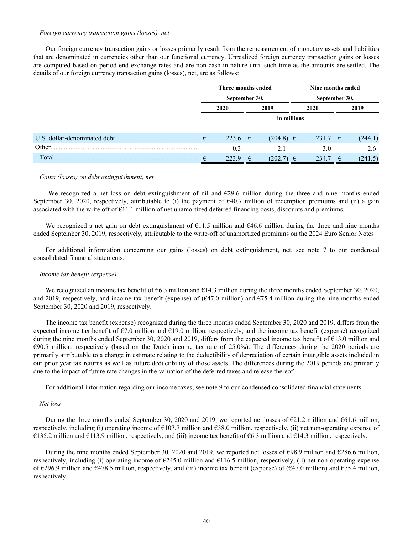### *Foreign currency transaction gains (losses), net*

Our foreign currency transaction gains or losses primarily result from the remeasurement of monetary assets and liabilities that are denominated in currencies other than our functional currency. Unrealized foreign currency transaction gains or losses are computed based on period-end exchange rates and are non-cash in nature until such time as the amounts are settled. The details of our foreign currency transaction gains (losses), net, are as follows:

|                              | Three months ended<br>September 30, |                  |             |               | Nine months ended |           |               |         |  |
|------------------------------|-------------------------------------|------------------|-------------|---------------|-------------------|-----------|---------------|---------|--|
|                              |                                     |                  |             |               |                   |           | September 30, |         |  |
|                              |                                     | 2019<br>2020     |             |               |                   | 2020      |               | 2019    |  |
|                              |                                     |                  | in millions |               |                   |           |               |         |  |
| U.S. dollar-denominated debt | €                                   | 223.6 $\epsilon$ |             | $(204.8) \in$ |                   | $231.7$ € |               | (244.1) |  |
| Other.                       |                                     | 0.3              |             | 2.1           |                   | 3.0       |               | 2.6     |  |
| Total                        | €                                   | 223.9            | €           | (202.7)       | €                 | 234.7     | €             | (241.5) |  |

### *Gains (losses) on debt extinguishment, net*

 We recognized a net loss on debt extinguishment of nil and €29.6 million during the three and nine months ended September 30, 2020, respectively, attributable to (i) the payment of  $\epsilon$ 40.7 million of redemption premiums and (ii) a gain associated with the write off of  $\epsilon$ 11.1 million of net unamortized deferred financing costs, discounts and premiums.

We recognized a net gain on debt extinguishment of  $\epsilon$ 11.5 million and  $\epsilon$ 46.6 million during the three and nine months ended September 30, 2019, respectively, attributable to the write-off of unamortized premiums on the 2024 Euro Senior Notes

For additional information concerning our gains (losses) on debt extinguishment, net, see note 7 to our condensed consolidated financial statements.

### *Income tax benefit (expense)*

We recognized an income tax benefit of  $66.3$  million and  $614.3$  million during the three months ended September 30, 2020, and 2019, respectively, and income tax benefit (expense) of ( $\epsilon$ 47.0 million) and  $\epsilon$ 75.4 million during the nine months ended September 30, 2020 and 2019, respectively.

The income tax benefit (expense) recognized during the three months ended September 30, 2020 and 2019, differs from the expected income tax benefit of  $\epsilon$ 7.0 million and  $\epsilon$ 19.0 million, respectively, and the income tax benefit (expense) recognized during the nine months ended September 30, 2020 and 2019, differs from the expected income tax benefit of €13.0 million and  $\epsilon$ 90.5 million, respectively (based on the Dutch income tax rate of 25.0%). The differences during the 2020 periods are primarily attributable to a change in estimate relating to the deductibility of depreciation of certain intangible assets included in our prior year tax returns as well as future deductibility of those assets. The differences during the 2019 periods are primarily due to the impact of future rate changes in the valuation of the deferred taxes and release thereof.

For additional information regarding our income taxes, see note 9 to our condensed consolidated financial statements.

### *Net loss*

During the three months ended September 30, 2020 and 2019, we reported net losses of  $\epsilon$ 21.2 million and  $\epsilon$ 61.6 million, respectively, including (i) operating income of  $\epsilon$ 107.7 million and  $\epsilon$ 38.0 million, respectively, (ii) net non-operating expense of €135.2 million and €113.9 million, respectively, and (iii) income tax benefit of €6.3 million and €14.3 million, respectively.

During the nine months ended September 30, 2020 and 2019, we reported net losses of €98.9 million and €286.6 million, respectively, including (i) operating income of  $\epsilon$ 245.0 million and  $\epsilon$ 116.5 million, respectively, (ii) net non-operating expense of €296.9 million and €478.5 million, respectively, and (iii) income tax benefit (expense) of (€47.0 million) and €75.4 million, respectively.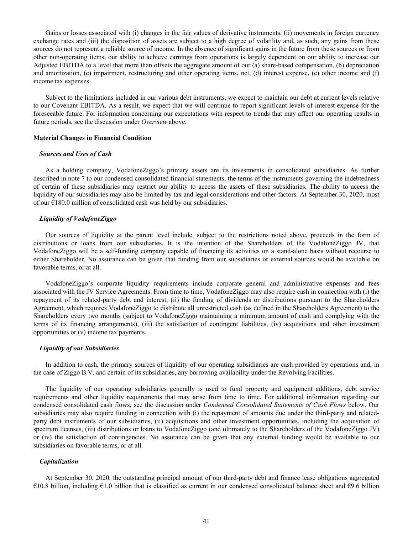Gains or losses associated with (i) changes in the fair values of derivative instruments, (ii) movements in foreign currency exchange rates and (iii) the disposition of assets are subject to a high degree of volatility and, as such, any gains from these sources do not represent a reliable source of income. In the absence of significant gains in the future from these sources or from other non-operating items, our ability to achieve earnings from operations is largely dependent on our ability to increase our Adjusted EBITDA to a level that more than offsets the aggregate amount of our (a) share-based compensation, (b) depreciation and amortization, (c) impairment, restructuring and other operating items, net, (d) interest expense, (e) other income and (f) income tax expenses.

Subject to the limitations included in our various debt instruments, we expect to maintain our debt at current levels relative to our Covenant EBITDA. As a result, we expect that we will continue to report significant levels of interest expense for the foreseeable future. For information concerning our expectations with respect to trends that may affect our operating results in future periods, see the discussion under *Overview* above.

### **Material Changes in Financial Condition**

### *Sources and Uses of Cash*

As a holding company, VodafoneZiggo's primary assets are its investments in consolidated subsidiaries. As further described in note 7 to our condensed consolidated financial statements, the terms of the instruments governing the indebtedness of certain of these subsidiaries may restrict our ability to access the assets of these subsidiaries. The ability to access the liquidity of our subsidiaries may also be limited by tax and legal considerations and other factors. At September 30, 2020, most of our  $E180.0$  million of consolidated cash was held by our subsidiaries.

### *Liquidity of VodafoneZiggo*

Our sources of liquidity at the parent level include, subject to the restrictions noted above, proceeds in the form of distributions or loans from our subsidiaries. It is the intention of the Shareholders of the VodafoneZiggo JV, that VodafoneZiggo will be a self-funding company capable of financing its activities on a stand-alone basis without recourse to either Shareholder. No assurance can be given that funding from our subsidiaries or external sources would be available on favorable terms, or at all.

VodafoneZiggo's corporate liquidity requirements include corporate general and administrative expenses and fees associated with the JV Service Agreements. From time to time, VodafoneZiggo may also require cash in connection with (i) the repayment of its related-party debt and interest, (ii) the funding of dividends or distributions pursuant to the Shareholders Agreement, which requires VodafoneZiggo to distribute all unrestricted cash (as defined in the Shareholders Agreement) to the Shareholders every two months (subject to VodafoneZiggo maintaining a minimum amount of cash and complying with the terms of its financing arrangements), (iii) the satisfaction of contingent liabilities, (iv) acquisitions and other investment opportunities or (v) income tax payments.

### *Liquidity of our Subsidiaries*

In addition to cash, the primary sources of liquidity of our operating subsidiaries are cash provided by operations and, in the case of Ziggo B.V. and certain of its subsidiaries, any borrowing availability under the Revolving Facilities.

The liquidity of our operating subsidiaries generally is used to fund property and equipment additions, debt service requirements and other liquidity requirements that may arise from time to time. For additional information regarding our condensed consolidated cash flows, see the discussion under *Condensed Consolidated Statements of Cash Flows* below. Our subsidiaries may also require funding in connection with (i) the repayment of amounts due under the third-party and relatedparty debt instruments of our subsidiaries, (ii) acquisitions and other investment opportunities, including the acquisition of spectrum licenses, (iii) distributions or loans to VodafoneZiggo (and ultimately to the Shareholders of the VodafoneZiggo JV) or (iv) the satisfaction of contingencies. No assurance can be given that any external funding would be available to our subsidiaries on favorable terms, or at all.

### *Capitalization*

At September 30, 2020, the outstanding principal amount of our third-party debt and finance lease obligations aggregated €10.8 billion, including €1.0 billion that is classified as current in our condensed consolidated balance sheet and €9.6 billion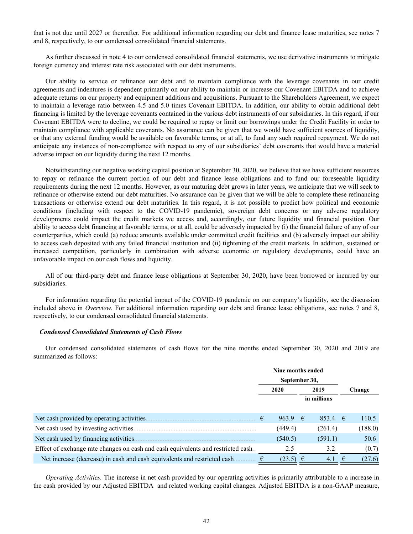that is not due until 2027 or thereafter*.* For additional information regarding our debt and finance lease maturities, see notes 7 and 8, respectively, to our condensed consolidated financial statements.

As further discussed in note 4 to our condensed consolidated financial statements, we use derivative instruments to mitigate foreign currency and interest rate risk associated with our debt instruments.

Our ability to service or refinance our debt and to maintain compliance with the leverage covenants in our credit agreements and indentures is dependent primarily on our ability to maintain or increase our Covenant EBITDA and to achieve adequate returns on our property and equipment additions and acquisitions. Pursuant to the Shareholders Agreement, we expect to maintain a leverage ratio between 4.5 and 5.0 times Covenant EBITDA. In addition, our ability to obtain additional debt financing is limited by the leverage covenants contained in the various debt instruments of our subsidiaries. In this regard, if our Covenant EBITDA were to decline, we could be required to repay or limit our borrowings under the Credit Facility in order to maintain compliance with applicable covenants. No assurance can be given that we would have sufficient sources of liquidity, or that any external funding would be available on favorable terms, or at all, to fund any such required repayment. We do not anticipate any instances of non-compliance with respect to any of our subsidiaries' debt covenants that would have a material adverse impact on our liquidity during the next 12 months.

Notwithstanding our negative working capital position at September 30, 2020, we believe that we have sufficient resources to repay or refinance the current portion of our debt and finance lease obligations and to fund our foreseeable liquidity requirements during the next 12 months. However, as our maturing debt grows in later years, we anticipate that we will seek to refinance or otherwise extend our debt maturities. No assurance can be given that we will be able to complete these refinancing transactions or otherwise extend our debt maturities. In this regard, it is not possible to predict how political and economic conditions (including with respect to the COVID-19 pandemic), sovereign debt concerns or any adverse regulatory developments could impact the credit markets we access and, accordingly, our future liquidity and financial position. Our ability to access debt financing at favorable terms, or at all, could be adversely impacted by (i) the financial failure of any of our counterparties, which could (a) reduce amounts available under committed credit facilities and (b) adversely impact our ability to access cash deposited with any failed financial institution and (ii) tightening of the credit markets. In addition, sustained or increased competition, particularly in combination with adverse economic or regulatory developments, could have an unfavorable impact on our cash flows and liquidity.

All of our third-party debt and finance lease obligations at September 30, 2020, have been borrowed or incurred by our subsidiaries.

For information regarding the potential impact of the COVID-19 pandemic on our company's liquidity, see the discussion included above in *Overview*. For additional information regarding our debt and finance lease obligations, see notes 7 and 8, respectively, to our condensed consolidated financial statements.

### *Condensed Consolidated Statements of Cash Flows*

Our condensed consolidated statements of cash flows for the nine months ended September 30, 2020 and 2019 are summarized as follows:

|                                                                                   | Nine months ended |                  |  |             |   |         |  |  |
|-----------------------------------------------------------------------------------|-------------------|------------------|--|-------------|---|---------|--|--|
|                                                                                   |                   | September 30,    |  |             |   |         |  |  |
|                                                                                   |                   | 2020             |  | 2019        |   | Change  |  |  |
|                                                                                   |                   |                  |  | in millions |   |         |  |  |
|                                                                                   |                   |                  |  |             |   |         |  |  |
| Net cash provided by operating activities.                                        | €                 | 963.9 $\epsilon$ |  | 853.4 $\in$ |   | 110.5   |  |  |
| Net cash used by investing activities                                             |                   | (449.4)          |  | (261.4)     |   | (188.0) |  |  |
| Net cash used by financing activities.                                            |                   | (540.5)          |  | (591.1)     |   | 50.6    |  |  |
| Effect of exchange rate changes on cash and cash equivalents and restricted cash. |                   | 2.5              |  | 3.2         |   | (0.7)   |  |  |
| Net increase (decrease) in cash and cash equivalents and restricted cash.         |                   | $(23.5) \in$     |  | 4.1         | € | (27.6)  |  |  |

*Operating Activities.* The increase in net cash provided by our operating activities is primarily attributable to a increase in the cash provided by our Adjusted EBITDA and related working capital changes. Adjusted EBITDA is a non-GAAP measure,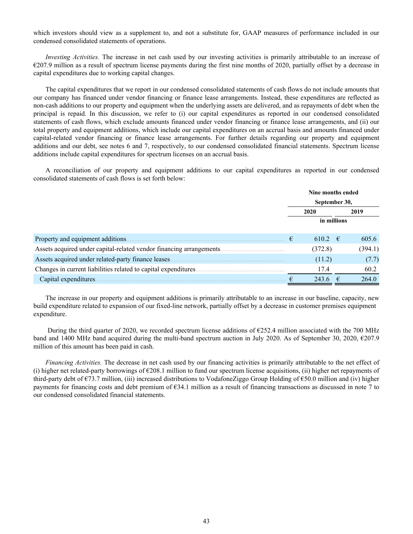which investors should view as a supplement to, and not a substitute for, GAAP measures of performance included in our condensed consolidated statements of operations.

*Investing Activities.* The increase in net cash used by our investing activities is primarily attributable to an increase of €207.9 million as a result of spectrum license payments during the first nine months of 2020, partially offset by a decrease in capital expenditures due to working capital changes.

The capital expenditures that we report in our condensed consolidated statements of cash flows do not include amounts that our company has financed under vendor financing or finance lease arrangements. Instead, these expenditures are reflected as non-cash additions to our property and equipment when the underlying assets are delivered, and as repayments of debt when the principal is repaid. In this discussion, we refer to (i) our capital expenditures as reported in our condensed consolidated statements of cash flows, which exclude amounts financed under vendor financing or finance lease arrangements, and (ii) our total property and equipment additions, which include our capital expenditures on an accrual basis and amounts financed under capital-related vendor financing or finance lease arrangements. For further details regarding our property and equipment additions and our debt, see notes 6 and 7, respectively, to our condensed consolidated financial statements. Spectrum license additions include capital expenditures for spectrum licenses on an accrual basis.

A reconciliation of our property and equipment additions to our capital expenditures as reported in our condensed consolidated statements of cash flows is set forth below:

|                                                                      |   | Nine months ended |         |  |  |  |
|----------------------------------------------------------------------|---|-------------------|---------|--|--|--|
|                                                                      |   | September 30,     |         |  |  |  |
|                                                                      |   | 2020              | 2019    |  |  |  |
|                                                                      |   | in millions       |         |  |  |  |
| Property and equipment additions.                                    | € | 610.2 $\in$       | 605.6   |  |  |  |
| Assets acquired under capital-related vendor financing arrangements. |   | (372.8)           | (394.1) |  |  |  |
| Assets acquired under related-party finance leases                   |   | (11.2)            | (7.7)   |  |  |  |
| Changes in current liabilities related to capital expenditures.      |   | 17.4              | 60.2    |  |  |  |
| Capital expenditures.                                                |   | 243.6             | 264.0   |  |  |  |

The increase in our property and equipment additions is primarily attributable to an increase in our baseline, capacity, new build expenditure related to expansion of our fixed-line network, partially offset by a decrease in customer premises equipment expenditure.

During the third quarter of 2020, we recorded spectrum license additions of  $\epsilon$ 252.4 million associated with the 700 MHz band and 1400 MHz band acquired during the multi-band spectrum auction in July 2020. As of September 30, 2020, €207.9 million of this amount has been paid in cash.

*Financing Activities.* The decrease in net cash used by our financing activities is primarily attributable to the net effect of (i) higher net related-party borrowings of  $\epsilon$ 208.1 million to fund our spectrum license acquisitions, (ii) higher net repayments of third-party debt of €73.7 million, (iii) increased distributions to VodafoneZiggo Group Holding of €50.0 million and (iv) higher payments for financing costs and debt premium of  $634.1$  million as a result of financing transactions as discussed in note 7 to our condensed consolidated financial statements.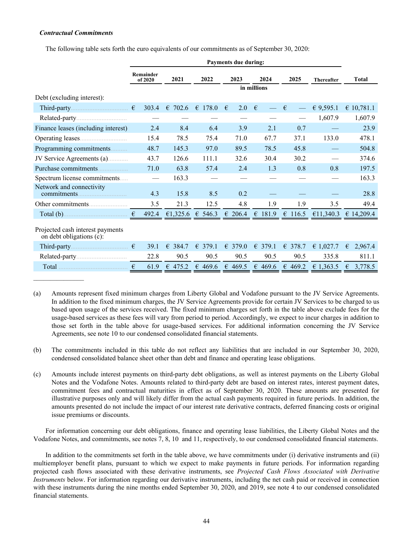# *Contractual Commitments*

The following table sets forth the euro equivalents of our commitments as of September 30, 2020:

|                                                              |   |                                 |                  |             | <b>Payments due during:</b> |                             |            |                          |                   |                     |
|--------------------------------------------------------------|---|---------------------------------|------------------|-------------|-----------------------------|-----------------------------|------------|--------------------------|-------------------|---------------------|
|                                                              |   | Remainder<br>of 2020            | 2021             | 2022        |                             | 2023<br>2024<br>in millions |            | 2025                     | <b>Thereafter</b> | <b>Total</b>        |
|                                                              |   |                                 |                  |             |                             |                             |            |                          |                   |                     |
| Debt (excluding interest):                                   |   |                                 |                  |             |                             |                             |            |                          |                   |                     |
|                                                              | € | 303.4                           | $\epsilon$ 702.6 | € 178.0     | $\epsilon$                  | 2.0                         | €          | €                        | € 9,595.1         | € 10,781.1          |
|                                                              |   |                                 |                  |             |                             |                             |            | $\overline{\phantom{0}}$ | 1,607.9           | 1,607.9             |
| Finance leases (including interest)                          |   | 2.4                             | 8.4              | 6.4         |                             | 3.9                         | 2.1        | 0.7                      |                   | 23.9                |
|                                                              |   | 15.4                            | 78.5             | 75.4        |                             | 71.0                        | 67.7       | 37.1                     | 133.0             | 478.1               |
| Programming commitments                                      |   | 48.7                            | 145.3            | 97.0        |                             | 89.5                        | 78.5       | 45.8                     |                   | 504.8               |
| JV Service Agreements (a)                                    |   | 43.7                            | 126.6            | 111.1       |                             | 32.6                        | 30.4       | 30.2                     |                   | 374.6               |
| Purchase commitments                                         |   | 71.0                            | 63.8             | 57.4        |                             | 2.4                         | 1.3        | 0.8                      | 0.8               | 197.5               |
| Spectrum license commitments                                 |   | $\overbrace{\qquad \qquad }^{}$ | 163.3            |             |                             |                             |            |                          |                   | 163.3               |
| Network and connectivity<br>commitments.                     |   | 4.3                             | 15.8             | 8.5         |                             | 0.2                         |            |                          |                   | 28.8                |
|                                                              |   | 3.5                             | 21.3             | 12.5        |                             | 4.8                         | 1.9        | 1.9                      | 3.5               | 49.4                |
|                                                              | € | 492.4                           | €1,325.6         | € 546.3     | $\epsilon$ 206.4            |                             | 181.9<br>€ | 116.5<br>€               | €11,340.3         | $\epsilon$ 14,209.4 |
| Projected cash interest payments<br>on debt obligations (c): |   |                                 |                  |             |                             |                             |            |                          |                   |                     |
|                                                              |   | 39.1                            | € 384.7          | $\in$ 379.1 | $\epsilon$ 379.0            |                             | € 379.1    | € 378.7                  | $E$ 1,027.7       | 2,967.4<br>€        |
|                                                              |   | 22.8                            | 90.5             | 90.5        |                             | 90.5                        | 90.5       | 90.5                     | 335.8             | 811.1               |
|                                                              | € | 61.9                            | € 475.2          | € 469.6     | € 469.5                     |                             | € 469.6    | € 469.2                  | € 1.363.5         | 3,778.5<br>€        |
|                                                              |   |                                 |                  |             |                             |                             |            |                          |                   |                     |

(a) Amounts represent fixed minimum charges from Liberty Global and Vodafone pursuant to the JV Service Agreements. In addition to the fixed minimum charges, the JV Service Agreements provide for certain JV Services to be charged to us based upon usage of the services received. The fixed minimum charges set forth in the table above exclude fees for the usage-based services as these fees will vary from period to period. Accordingly, we expect to incur charges in addition to those set forth in the table above for usage-based services. For additional information concerning the JV Service Agreements, see note 10 to our condensed consolidated financial statements.

- (b) The commitments included in this table do not reflect any liabilities that are included in our September 30, 2020, condensed consolidated balance sheet other than debt and finance and operating lease obligations.
- (c) Amounts include interest payments on third-party debt obligations, as well as interest payments on the Liberty Global Notes and the Vodafone Notes. Amounts related to third-party debt are based on interest rates, interest payment dates, commitment fees and contractual maturities in effect as of September 30, 2020. These amounts are presented for illustrative purposes only and will likely differ from the actual cash payments required in future periods. In addition, the amounts presented do not include the impact of our interest rate derivative contracts, deferred financing costs or original issue premiums or discounts.

For information concerning our debt obligations, finance and operating lease liabilities, the Liberty Global Notes and the Vodafone Notes, and commitments, see notes 7, 8, 10 and 11, respectively, to our condensed consolidated financial statements.

In addition to the commitments set forth in the table above, we have commitments under (i) derivative instruments and (ii) multiemployer benefit plans, pursuant to which we expect to make payments in future periods. For information regarding projected cash flows associated with these derivative instruments, see *Projected Cash Flows Associated with Derivative Instruments* below. For information regarding our derivative instruments, including the net cash paid or received in connection with these instruments during the nine months ended September 30, 2020, and 2019, see note 4 to our condensed consolidated financial statements.